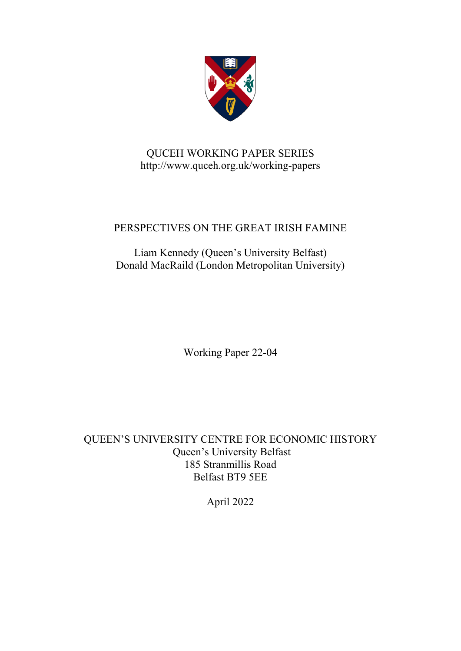

# QUCEH WORKING PAPER SERIES http://www.quceh.org.uk/working-papers

# PERSPECTIVES ON THE GREAT IRISH FAMINE

Liam Kennedy (Queen's University Belfast) Donald MacRaild (London Metropolitan University)

Working Paper 22-04

QUEEN'S UNIVERSITY CENTRE FOR ECONOMIC HISTORY Queen's University Belfast 185 Stranmillis Road Belfast BT9 5EE

April 2022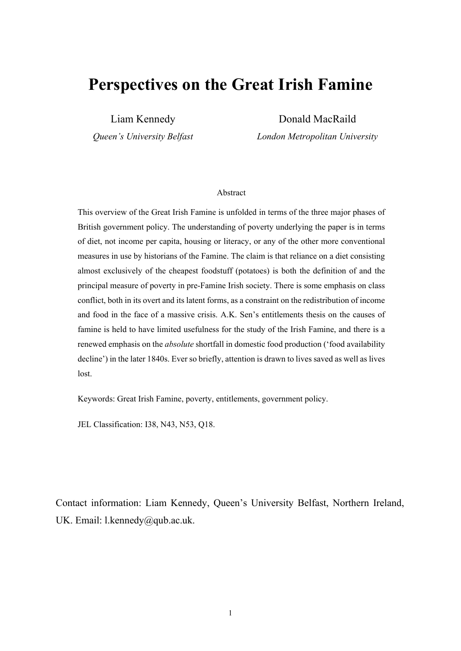# **Perspectives on the Great Irish Famine**

Liam Kennedy

*Queen's University Belfast*

Donald MacRaild

*London Metropolitan University*

#### Abstract

This overview of the Great Irish Famine is unfolded in terms of the three major phases of British government policy. The understanding of poverty underlying the paper is in terms of diet, not income per capita, housing or literacy, or any of the other more conventional measures in use by historians of the Famine. The claim is that reliance on a diet consisting almost exclusively of the cheapest foodstuff (potatoes) is both the definition of and the principal measure of poverty in pre-Famine Irish society. There is some emphasis on class conflict, both in its overt and its latent forms, as a constraint on the redistribution of income and food in the face of a massive crisis. A.K. Sen's entitlements thesis on the causes of famine is held to have limited usefulness for the study of the Irish Famine, and there is a renewed emphasis on the *absolute* shortfall in domestic food production ('food availability decline') in the later 1840s. Ever so briefly, attention is drawn to lives saved as well as lives lost.

Keywords: Great Irish Famine, poverty, entitlements, government policy.

JEL Classification: I38, N43, N53, Q18.

Contact information: Liam Kennedy, Queen's University Belfast, Northern Ireland, UK. Email: l.kennedy@qub.ac.uk.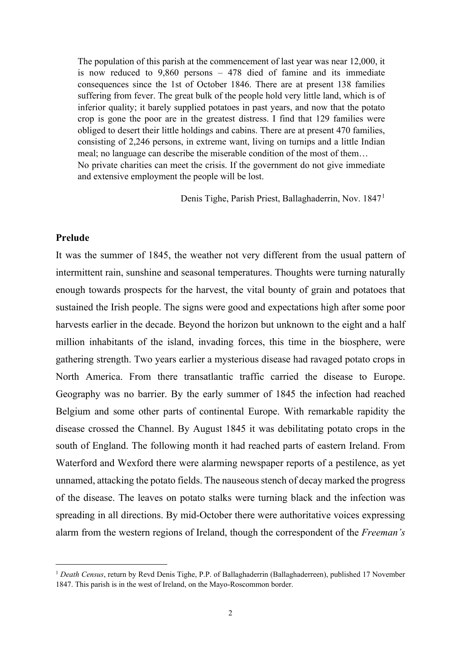The population of this parish at the commencement of last year was near 12,000, it is now reduced to 9,860 persons – 478 died of famine and its immediate consequences since the 1st of October 1846. There are at present 138 families suffering from fever. The great bulk of the people hold very little land, which is of inferior quality; it barely supplied potatoes in past years, and now that the potato crop is gone the poor are in the greatest distress. I find that 129 families were obliged to desert their little holdings and cabins. There are at present 470 families, consisting of 2,246 persons, in extreme want, living on turnips and a little Indian meal; no language can describe the miserable condition of the most of them… No private charities can meet the crisis. If the government do not give immediate and extensive employment the people will be lost.

Denis Tighe, Parish Priest, Ballaghaderrin, Nov. 1847[1](#page-2-0)

## **Prelude**

It was the summer of 1845, the weather not very different from the usual pattern of intermittent rain, sunshine and seasonal temperatures. Thoughts were turning naturally enough towards prospects for the harvest, the vital bounty of grain and potatoes that sustained the Irish people. The signs were good and expectations high after some poor harvests earlier in the decade. Beyond the horizon but unknown to the eight and a half million inhabitants of the island, invading forces, this time in the biosphere, were gathering strength. Two years earlier a mysterious disease had ravaged potato crops in North America. From there transatlantic traffic carried the disease to Europe. Geography was no barrier. By the early summer of 1845 the infection had reached Belgium and some other parts of continental Europe. With remarkable rapidity the disease crossed the Channel. By August 1845 it was debilitating potato crops in the south of England. The following month it had reached parts of eastern Ireland. From Waterford and Wexford there were alarming newspaper reports of a pestilence, as yet unnamed, attacking the potato fields. The nauseous stench of decay marked the progress of the disease. The leaves on potato stalks were turning black and the infection was spreading in all directions. By mid-October there were authoritative voices expressing alarm from the western regions of Ireland, though the correspondent of the *Freeman's* 

<span id="page-2-0"></span><sup>&</sup>lt;sup>1</sup> *Death Census*, return by Revd Denis Tighe, P.P. of Ballaghaderrin (Ballaghaderreen), published 17 November 1847. This parish is in the west of Ireland, on the Mayo-Roscommon border.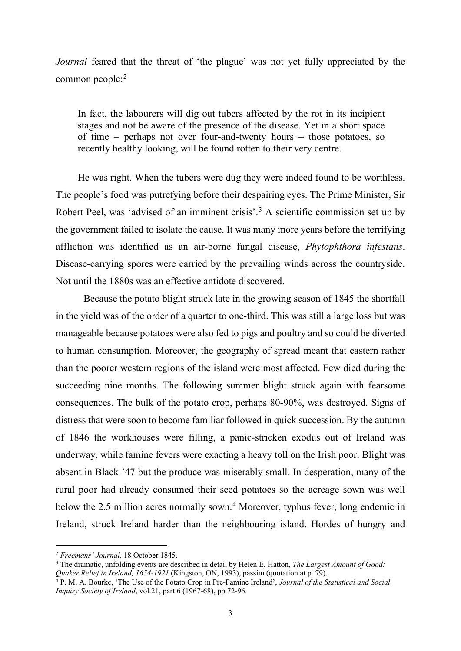*Journal* feared that the threat of 'the plague' was not yet fully appreciated by the common people:[2](#page-3-0)

In fact, the labourers will dig out tubers affected by the rot in its incipient stages and not be aware of the presence of the disease. Yet in a short space of time – perhaps not over four-and-twenty hours – those potatoes, so recently healthy looking, will be found rotten to their very centre.

He was right. When the tubers were dug they were indeed found to be worthless. The people's food was putrefying before their despairing eyes. The Prime Minister, Sir Robert Peel, was 'advised of an imminent crisis'.<sup>[3](#page-3-1)</sup> A scientific commission set up by the government failed to isolate the cause. It was many more years before the terrifying affliction was identified as an air-borne fungal disease, *Phytophthora infestans*. Disease-carrying spores were carried by the prevailing winds across the countryside. Not until the 1880s was an effective antidote discovered.

Because the potato blight struck late in the growing season of 1845 the shortfall in the yield was of the order of a quarter to one-third. This was still a large loss but was manageable because potatoes were also fed to pigs and poultry and so could be diverted to human consumption. Moreover, the geography of spread meant that eastern rather than the poorer western regions of the island were most affected. Few died during the succeeding nine months. The following summer blight struck again with fearsome consequences. The bulk of the potato crop, perhaps 80-90%, was destroyed. Signs of distress that were soon to become familiar followed in quick succession. By the autumn of 1846 the workhouses were filling, a panic-stricken exodus out of Ireland was underway, while famine fevers were exacting a heavy toll on the Irish poor. Blight was absent in Black '47 but the produce was miserably small. In desperation, many of the rural poor had already consumed their seed potatoes so the acreage sown was well below the 2.5 million acres normally sown.<sup>4</sup> Moreover, typhus fever, long endemic in Ireland, struck Ireland harder than the neighbouring island. Hordes of hungry and

<span id="page-3-0"></span><sup>2</sup> *Freemans' Journal*, 18 October 1845.

<span id="page-3-1"></span><sup>&</sup>lt;sup>3</sup> The dramatic, unfolding events are described in detail by Helen E. Hatton, *The Largest Amount of Good: Quaker Relief in Ireland, 1654-1921* (Kingston, ON, 1993), passim (quotation at p. 79).

<span id="page-3-2"></span><sup>&</sup>lt;sup>4</sup> P. M. A. Bourke, 'The Use of the Potato Crop in Pre-Famine Ireland', *Journal of the Statistical and Social Inquiry Society of Ireland*, vol.21, part 6 (1967-68), pp.72-96.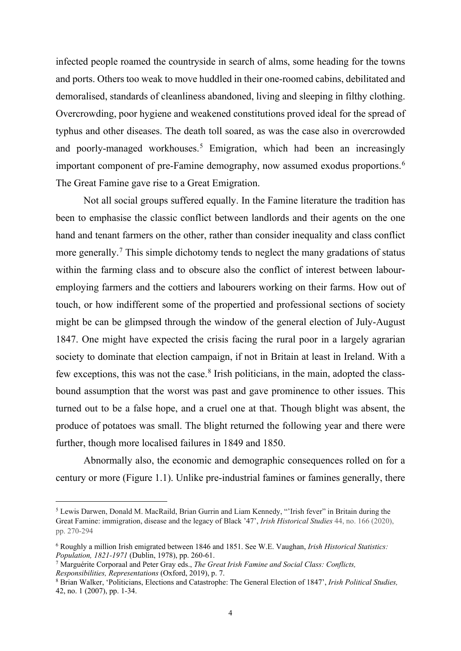infected people roamed the countryside in search of alms, some heading for the towns and ports. Others too weak to move huddled in their one-roomed cabins, debilitated and demoralised, standards of cleanliness abandoned, living and sleeping in filthy clothing. Overcrowding, poor hygiene and weakened constitutions proved ideal for the spread of typhus and other diseases. The death toll soared, as was the case also in overcrowded and poorly-managed workhouses.<sup>[5](#page-4-0)</sup> Emigration, which had been an increasingly important component of pre-Famine demography, now assumed exodus proportions.<sup>[6](#page-4-1)</sup> The Great Famine gave rise to a Great Emigration.

Not all social groups suffered equally. In the Famine literature the tradition has been to emphasise the classic conflict between landlords and their agents on the one hand and tenant farmers on the other, rather than consider inequality and class conflict more generally.<sup>[7](#page-4-2)</sup> This simple dichotomy tends to neglect the many gradations of status within the farming class and to obscure also the conflict of interest between labouremploying farmers and the cottiers and labourers working on their farms. How out of touch, or how indifferent some of the propertied and professional sections of society might be can be glimpsed through the window of the general election of July-August 1847. One might have expected the crisis facing the rural poor in a largely agrarian society to dominate that election campaign, if not in Britain at least in Ireland. With a few exceptions, this was not the case.<sup>8</sup> Irish politicians, in the main, adopted the classbound assumption that the worst was past and gave prominence to other issues. This turned out to be a false hope, and a cruel one at that. Though blight was absent, the produce of potatoes was small. The blight returned the following year and there were further, though more localised failures in 1849 and 1850.

Abnormally also, the economic and demographic consequences rolled on for a century or more (Figure 1.1). Unlike pre-industrial famines or famines generally, there

<span id="page-4-0"></span><sup>5</sup> Lewis Darwen, Donald M. MacRaild, Brian Gurrin and Liam Kennedy, "'Irish fever" in Britain during the Great Famine: immigration, disease and the legacy of Black '47', *Irish Historical Studies* 44, no. 166 (2020), pp. 270-294

<span id="page-4-1"></span><sup>6</sup> Roughly a million Irish emigrated between 1846 and 1851. See W.E. Vaughan, *Irish Historical Statistics: Population, 1821-1971* (Dublin, 1978), pp. 260-61.

<span id="page-4-2"></span><sup>7</sup> Marguérite Corporaal and Peter Gray eds., *The Great Irish Famine and Social Class: Conflicts, Responsibilities, Representations* (Oxford, 2019), p. 7.

<span id="page-4-3"></span><sup>8</sup> Brian Walker, 'Politicians, Elections and Catastrophe: The General Election of 1847', *Irish Political Studies,* 42, no. 1 (2007), pp. 1-34.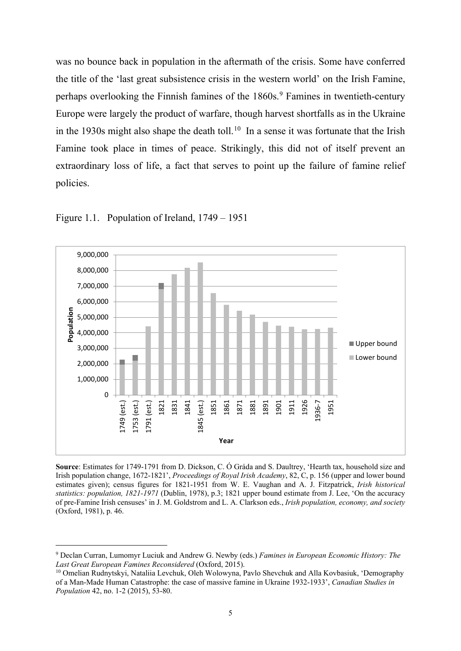was no bounce back in population in the aftermath of the crisis. Some have conferred the title of the 'last great subsistence crisis in the western world' on the Irish Famine, perhaps overlooking the Finnish famines of the 1860s.<sup>[9](#page-5-0)</sup> Famines in twentieth-century Europe were largely the product of warfare, though harvest shortfalls as in the Ukraine in the 1930s might also shape the death toll.<sup>10</sup> In a sense it was fortunate that the Irish Famine took place in times of peace. Strikingly, this did not of itself prevent an extraordinary loss of life, a fact that serves to point up the failure of famine relief policies.



Figure 1.1. Population of Ireland, 1749 – 1951

**Source**: Estimates for 1749-1791 from D. Dickson, C. Ó Gráda and S. Daultrey, 'Hearth tax, household size and Irish population change, 1672-1821', *Proceedings of Royal Irish Academy*, 82, C, p. 156 (upper and lower bound estimates given); census figures for 1821-1951 from W. E. Vaughan and A. J. Fitzpatrick, *Irish historical statistics: population, 1821-1971* (Dublin, 1978), p.3; 1821 upper bound estimate from J. Lee, 'On the accuracy of pre-Famine Irish censuses' in J. M. Goldstrom and L. A. Clarkson eds., *Irish population, economy, and society* (Oxford, 1981), p. 46.

<span id="page-5-0"></span><sup>9</sup> Declan Curran, Lumomyr Luciuk and Andrew G. Newby (eds.) *Famines in European Economic History: The Last Great European Famines Reconsidered* (Oxford, 2015).

<span id="page-5-1"></span><sup>10</sup> Omelian Rudnytskyi, Nataliia Levchuk, Oleh Wolowyna, Pavlo Shevchuk and Alla Kovbasiuk, 'Demography of a Man-Made Human Catastrophe: the case of massive famine in Ukraine 1932-1933', *Canadian Studies in Population* 42, no. 1-2 (2015), 53-80.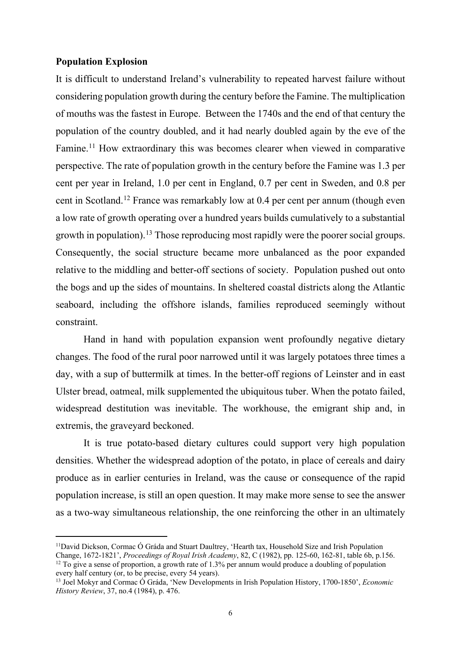#### **Population Explosion**

It is difficult to understand Ireland's vulnerability to repeated harvest failure without considering population growth during the century before the Famine. The multiplication of mouths was the fastest in Europe. Between the 1740s and the end of that century the population of the country doubled, and it had nearly doubled again by the eve of the Famine.<sup>[11](#page-6-0)</sup> How extraordinary this was becomes clearer when viewed in comparative perspective. The rate of population growth in the century before the Famine was 1.3 per cent per year in Ireland, 1.0 per cent in England, 0.7 per cent in Sweden, and 0.8 per cent in Scotland.[12](#page-6-1) France was remarkably low at 0.4 per cent per annum (though even a low rate of growth operating over a hundred years builds cumulatively to a substantial growth in population).[13](#page-6-2) Those reproducing most rapidly were the poorer social groups. Consequently, the social structure became more unbalanced as the poor expanded relative to the middling and better-off sections of society. Population pushed out onto the bogs and up the sides of mountains. In sheltered coastal districts along the Atlantic seaboard, including the offshore islands, families reproduced seemingly without constraint.

Hand in hand with population expansion went profoundly negative dietary changes. The food of the rural poor narrowed until it was largely potatoes three times a day, with a sup of buttermilk at times. In the better-off regions of Leinster and in east Ulster bread, oatmeal, milk supplemented the ubiquitous tuber. When the potato failed, widespread destitution was inevitable. The workhouse, the emigrant ship and, in extremis, the graveyard beckoned.

It is true potato-based dietary cultures could support very high population densities. Whether the widespread adoption of the potato, in place of cereals and dairy produce as in earlier centuries in Ireland, was the cause or consequence of the rapid population increase, is still an open question. It may make more sense to see the answer as a two-way simultaneous relationship, the one reinforcing the other in an ultimately

<span id="page-6-0"></span><sup>11</sup>David Dickson, Cormac Ó Gráda and Stuart Daultrey, 'Hearth tax, Household Size and Irish Population Change, 1672-1821', *Proceedings of Royal Irish Academy*, 82, C (1982), pp. 125-60, 162-81, table 6b, p.156.

<span id="page-6-1"></span><sup>&</sup>lt;sup>12</sup> To give a sense of proportion, a growth rate of 1.3% per annum would produce a doubling of population every half century (or, to be precise, every 54 years).

<span id="page-6-2"></span><sup>13</sup> Joel Mokyr and Cormac Ó Gráda, 'New Developments in Irish Population History, 1700-1850', *Economic History Review*, 37, no.4 (1984), p. 476.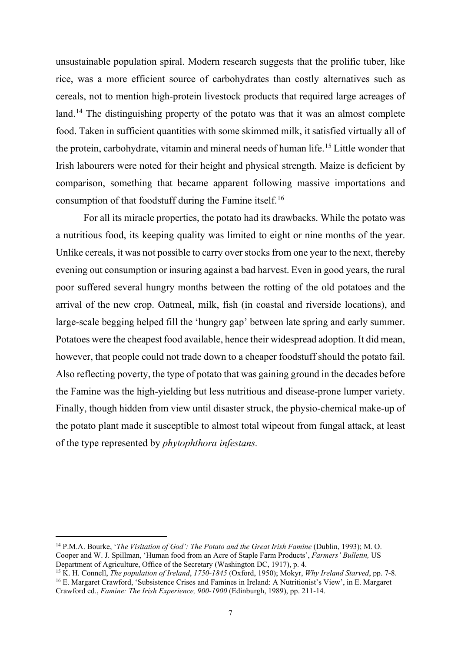unsustainable population spiral. Modern research suggests that the prolific tuber, like rice, was a more efficient source of carbohydrates than costly alternatives such as cereals, not to mention high-protein livestock products that required large acreages of land.<sup>[14](#page-7-0)</sup> The distinguishing property of the potato was that it was an almost complete food. Taken in sufficient quantities with some skimmed milk, it satisfied virtually all of the protein, carbohydrate, vitamin and mineral needs of human life.[15](#page-7-1) Little wonder that Irish labourers were noted for their height and physical strength. Maize is deficient by comparison, something that became apparent following massive importations and consumption of that foodstuff during the Famine itself.[16](#page-7-2)

For all its miracle properties, the potato had its drawbacks. While the potato was a nutritious food, its keeping quality was limited to eight or nine months of the year. Unlike cereals, it was not possible to carry over stocks from one year to the next, thereby evening out consumption or insuring against a bad harvest. Even in good years, the rural poor suffered several hungry months between the rotting of the old potatoes and the arrival of the new crop. Oatmeal, milk, fish (in coastal and riverside locations), and large-scale begging helped fill the 'hungry gap' between late spring and early summer. Potatoes were the cheapest food available, hence their widespread adoption. It did mean, however, that people could not trade down to a cheaper foodstuff should the potato fail. Also reflecting poverty, the type of potato that was gaining ground in the decades before the Famine was the high-yielding but less nutritious and disease-prone lumper variety. Finally, though hidden from view until disaster struck, the physio-chemical make-up of the potato plant made it susceptible to almost total wipeout from fungal attack, at least of the type represented by *phytophthora infestans.*

<span id="page-7-0"></span><sup>&</sup>lt;sup>14</sup> P.M.A. Bourke, *'The Visitation of God': The Potato and the Great Irish Famine (Dublin, 1993); M.O.* Cooper and W. J. Spillman, 'Human food from an Acre of Staple Farm Products', *Farmers' Bulletin,* US Department of Agriculture, Office of the Secretary (Washington DC, 1917), p. 4.

<span id="page-7-2"></span><span id="page-7-1"></span><sup>15</sup> K. H. Connell, *The population of Ireland*, *1750-1845* (Oxford, 1950); Mokyr, *Why Ireland Starved*, pp. 7-8. <sup>16</sup> E. Margaret Crawford, 'Subsistence Crises and Famines in Ireland: A Nutritionist's View', in E. Margaret Crawford ed., *Famine: The Irish Experience, 900-1900* (Edinburgh, 1989), pp. 211-14.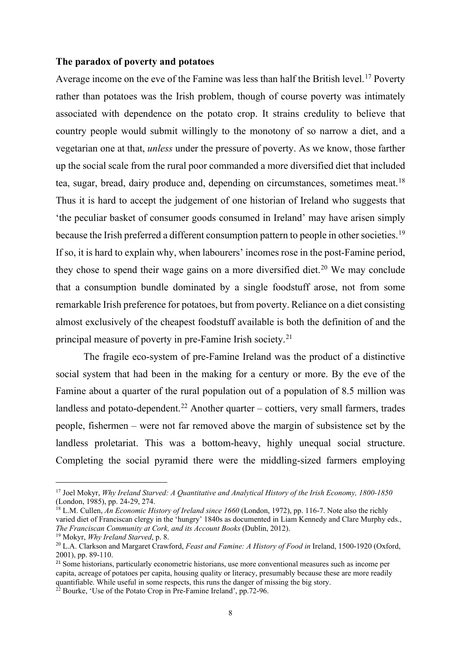#### **The paradox of poverty and potatoes**

Average income on the eve of the Famine was less than half the British level.<sup>[17](#page-8-0)</sup> Poverty rather than potatoes was the Irish problem, though of course poverty was intimately associated with dependence on the potato crop. It strains credulity to believe that country people would submit willingly to the monotony of so narrow a diet, and a vegetarian one at that, *unless* under the pressure of poverty. As we know, those farther up the social scale from the rural poor commanded a more diversified diet that included tea, sugar, bread, dairy produce and, depending on circumstances, sometimes meat.<sup>[18](#page-8-1)</sup> Thus it is hard to accept the judgement of one historian of Ireland who suggests that 'the peculiar basket of consumer goods consumed in Ireland' may have arisen simply because the Irish preferred a different consumption pattern to people in other societies.<sup>[19](#page-8-2)</sup> If so, it is hard to explain why, when labourers' incomes rose in the post-Famine period, they chose to spend their wage gains on a more diversified diet.<sup>[20](#page-8-3)</sup> We may conclude that a consumption bundle dominated by a single foodstuff arose, not from some remarkable Irish preference for potatoes, but from poverty. Reliance on a diet consisting almost exclusively of the cheapest foodstuff available is both the definition of and the principal measure of poverty in pre-Famine Irish society.[21](#page-8-4)

The fragile eco-system of pre-Famine Ireland was the product of a distinctive social system that had been in the making for a century or more. By the eve of the Famine about a quarter of the rural population out of a population of 8.5 million was landless and potato-dependent.<sup>[22](#page-8-5)</sup> Another quarter – cottiers, very small farmers, trades people, fishermen – were not far removed above the margin of subsistence set by the landless proletariat. This was a bottom-heavy, highly unequal social structure. Completing the social pyramid there were the middling-sized farmers employing

<span id="page-8-0"></span><sup>17</sup> Joel Mokyr, *Why Ireland Starved: A Quantitative and Analytical History of the Irish Economy, 1800-1850* (London, 1985), pp. 24-29, 274.

<span id="page-8-1"></span><sup>&</sup>lt;sup>18</sup> L.M. Cullen, *An Economic History of Ireland since 1660* (London, 1972), pp. 116-7. Note also the richly varied diet of Franciscan clergy in the 'hungry' 1840s as documented in Liam Kennedy and Clare Murphy eds., *The Franciscan Community at Cork, and its Account Books* (Dublin, 2012).

<span id="page-8-2"></span><sup>19</sup> Mokyr, *Why Ireland Starved*, p. 8.

<span id="page-8-3"></span><sup>20</sup> L.A. Clarkson and Margaret Crawford, *Feast and Famine: A History of Food in* Ireland, 1500-1920 (Oxford, 2001), pp. 89-110.

<span id="page-8-4"></span><sup>&</sup>lt;sup>21</sup> Some historians, particularly econometric historians, use more conventional measures such as income per capita, acreage of potatoes per capita, housing quality or literacy, presumably because these are more readily quantifiable. While useful in some respects, this runs the danger of missing the big story.

<span id="page-8-5"></span><sup>&</sup>lt;sup>22</sup> Bourke, 'Use of the Potato Crop in Pre-Famine Ireland', pp.72-96.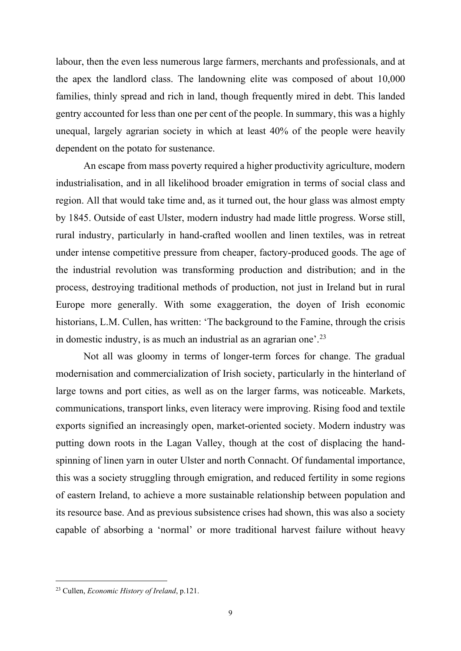labour, then the even less numerous large farmers, merchants and professionals, and at the apex the landlord class. The landowning elite was composed of about 10,000 families, thinly spread and rich in land, though frequently mired in debt. This landed gentry accounted for less than one per cent of the people. In summary, this was a highly unequal, largely agrarian society in which at least 40% of the people were heavily dependent on the potato for sustenance.

An escape from mass poverty required a higher productivity agriculture, modern industrialisation, and in all likelihood broader emigration in terms of social class and region. All that would take time and, as it turned out, the hour glass was almost empty by 1845. Outside of east Ulster, modern industry had made little progress. Worse still, rural industry, particularly in hand-crafted woollen and linen textiles, was in retreat under intense competitive pressure from cheaper, factory-produced goods. The age of the industrial revolution was transforming production and distribution; and in the process, destroying traditional methods of production, not just in Ireland but in rural Europe more generally. With some exaggeration, the doyen of Irish economic historians, L.M. Cullen, has written: 'The background to the Famine, through the crisis in domestic industry, is as much an industrial as an agrarian one'.[23](#page-9-0)

Not all was gloomy in terms of longer-term forces for change. The gradual modernisation and commercialization of Irish society, particularly in the hinterland of large towns and port cities, as well as on the larger farms, was noticeable. Markets, communications, transport links, even literacy were improving. Rising food and textile exports signified an increasingly open, market-oriented society. Modern industry was putting down roots in the Lagan Valley, though at the cost of displacing the handspinning of linen yarn in outer Ulster and north Connacht. Of fundamental importance, this was a society struggling through emigration, and reduced fertility in some regions of eastern Ireland, to achieve a more sustainable relationship between population and its resource base. And as previous subsistence crises had shown, this was also a society capable of absorbing a 'normal' or more traditional harvest failure without heavy

<span id="page-9-0"></span><sup>23</sup> Cullen, *Economic History of Ireland*, p.121.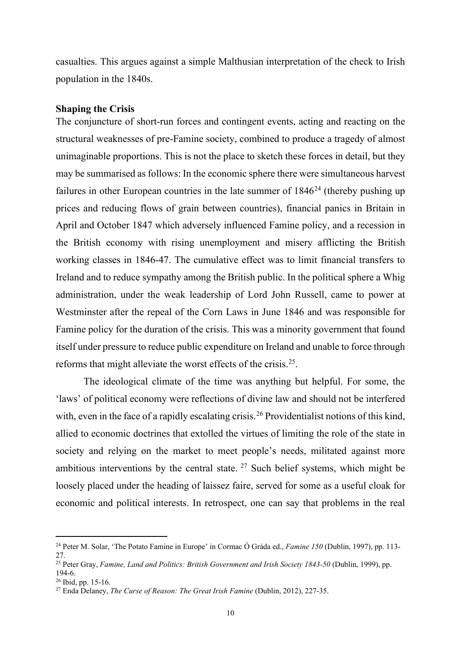casualties. This argues against a simple Malthusian interpretation of the check to Irish population in the 1840s.

#### **Shaping the Crisis**

The conjuncture of short-run forces and contingent events, acting and reacting on the structural weaknesses of pre-Famine society, combined to produce a tragedy of almost unimaginable proportions. This is not the place to sketch these forces in detail, but they may be summarised as follows: In the economic sphere there were simultaneous harvest failures in other European countries in the late summer of  $1846<sup>24</sup>$  $1846<sup>24</sup>$  $1846<sup>24</sup>$  (thereby pushing up prices and reducing flows of grain between countries), financial panics in Britain in April and October 1847 which adversely influenced Famine policy, and a recession in the British economy with rising unemployment and misery afflicting the British working classes in 1846-47. The cumulative effect was to limit financial transfers to Ireland and to reduce sympathy among the British public. In the political sphere a Whig administration, under the weak leadership of Lord John Russell, came to power at Westminster after the repeal of the Corn Laws in June 1846 and was responsible for Famine policy for the duration of the crisis. This was a minority government that found itself under pressure to reduce public expenditure on Ireland and unable to force through reforms that might alleviate the worst effects of the crisis.[25](#page-10-1).

The ideological climate of the time was anything but helpful. For some, the 'laws' of political economy were reflections of divine law and should not be interfered with, even in the face of a rapidly escalating crisis.<sup>[26](#page-10-2)</sup> Providentialist notions of this kind, allied to economic doctrines that extolled the virtues of limiting the role of the state in society and relying on the market to meet people's needs, militated against more ambitious interventions by the central state.  $27$  Such belief systems, which might be loosely placed under the heading of laissez faire, served for some as a useful cloak for economic and political interests. In retrospect, one can say that problems in the real

<span id="page-10-0"></span><sup>24</sup> Peter M. Solar, 'The Potato Famine in Europe' in Cormac Ó Gráda ed., *Famine 150* (Dublin, 1997), pp. 113- 27.

<span id="page-10-1"></span><sup>&</sup>lt;sup>25</sup> Peter Gray, *Famine, Land and Politics: British Government and Irish Society 1843-50* (Dublin, 1999), pp.<br>194-6.

<span id="page-10-3"></span><span id="page-10-2"></span><sup>&</sup>lt;sup>26</sup> Ibid, pp. 15-16.<br><sup>27</sup> Enda Delaney, *The Curse of Reason: The Great Irish Famine* (Dublin, 2012), 227-35.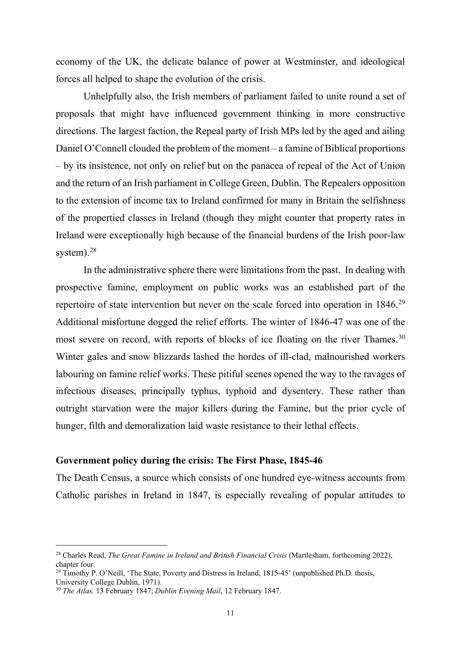economy of the UK, the delicate balance of power at Westminster, and ideological forces all helped to shape the evolution of the crisis.

Unhelpfully also, the Irish members of parliament failed to unite round a set of proposals that might have influenced government thinking in more constructive directions. The largest faction, the Repeal party of Irish MPs led by the aged and ailing Daniel O'Connell clouded the problem of the moment – a famine of Biblical proportions – by its insistence, not only on relief but on the panacea of repeal of the Act of Union and the return of an Irish parliament in College Green, Dublin. The Repealers opposition to the extension of income tax to Ireland confirmed for many in Britain the selfishness of the propertied classes in Ireland (though they might counter that property rates in Ireland were exceptionally high because of the financial burdens of the Irish poor-law system). $28$ 

In the administrative sphere there were limitations from the past. In dealing with prospective famine, employment on public works was an established part of the repertoire of state intervention but never on the scale forced into operation in 1846.<sup>[29](#page-11-1)</sup> Additional misfortune dogged the relief efforts. The winter of 1846-47 was one of the most severe on record, with reports of blocks of ice floating on the river Thames.<sup>[30](#page-11-2)</sup> Winter gales and snow blizzards lashed the hordes of ill-clad, malnourished workers labouring on famine relief works. These pitiful scenes opened the way to the ravages of infectious diseases, principally typhus, typhoid and dysentery. These rather than outright starvation were the major killers during the Famine, but the prior cycle of hunger, filth and demoralization laid waste resistance to their lethal effects.

#### **Government policy during the crisis: The First Phase, 1845-46**

The Death Census, a source which consists of one hundred eye-witness accounts from Catholic parishes in Ireland in 1847, is especially revealing of popular attitudes to

<span id="page-11-0"></span><sup>&</sup>lt;sup>28</sup> Charles Read, *The Great Famine in Ireland and British Financial Crisis* (Martlesham, forthcoming 2022), chapter four.

<span id="page-11-1"></span><sup>&</sup>lt;sup>29</sup> Timothy P. O'Neill, 'The State, Poverty and Distress in Ireland,  $1815-45'$  (unpublished Ph.D. thesis,

University College Dublin, 1971).

<span id="page-11-2"></span><sup>30</sup> *The Atlas,* 13 February 1847; *Dublin Evening Mail*, 12 February 1847.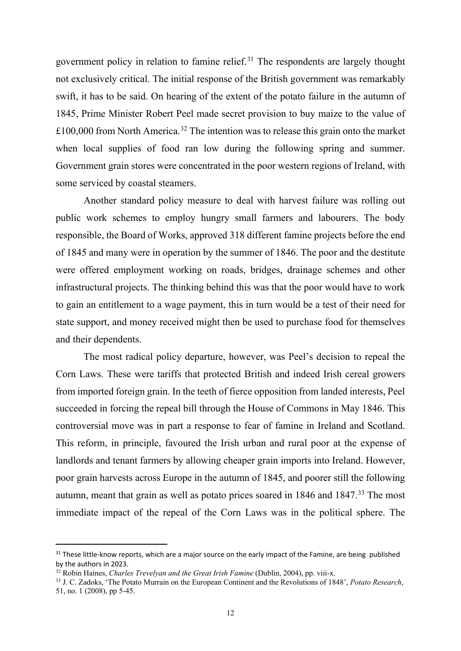government policy in relation to famine relief. [31](#page-12-0) The respondents are largely thought not exclusively critical. The initial response of the British government was remarkably swift, it has to be said. On hearing of the extent of the potato failure in the autumn of 1845, Prime Minister Robert Peel made secret provision to buy maize to the value of £100,000 from North America.<sup>[32](#page-12-1)</sup> The intention was to release this grain onto the market when local supplies of food ran low during the following spring and summer. Government grain stores were concentrated in the poor western regions of Ireland, with some serviced by coastal steamers.

Another standard policy measure to deal with harvest failure was rolling out public work schemes to employ hungry small farmers and labourers. The body responsible, the Board of Works, approved 318 different famine projects before the end of 1845 and many were in operation by the summer of 1846. The poor and the destitute were offered employment working on roads, bridges, drainage schemes and other infrastructural projects. The thinking behind this was that the poor would have to work to gain an entitlement to a wage payment, this in turn would be a test of their need for state support, and money received might then be used to purchase food for themselves and their dependents.

The most radical policy departure, however, was Peel's decision to repeal the Corn Laws. These were tariffs that protected British and indeed Irish cereal growers from imported foreign grain. In the teeth of fierce opposition from landed interests, Peel succeeded in forcing the repeal bill through the House of Commons in May 1846. This controversial move was in part a response to fear of famine in Ireland and Scotland. This reform, in principle, favoured the Irish urban and rural poor at the expense of landlords and tenant farmers by allowing cheaper grain imports into Ireland. However, poor grain harvests across Europe in the autumn of 1845, and poorer still the following autumn, meant that grain as well as potato prices soared in 1846 and 1847.<sup>33</sup> The most immediate impact of the repeal of the Corn Laws was in the political sphere. The

<span id="page-12-0"></span><sup>&</sup>lt;sup>31</sup> These little-know reports, which are a major source on the early impact of the Famine, are being published by the authors in 2023.

<span id="page-12-1"></span><sup>&</sup>lt;sup>32</sup> Robin Haines, *Charles Trevelyan and the Great Irish Famine* (Dublin, 2004), pp. viii-x.

<span id="page-12-2"></span><sup>33</sup> J. C. Zadoks, 'The Potato Murrain on the European Continent and the Revolutions of 1848', *Potato Research*, 51, no. 1 (2008), pp 5-45.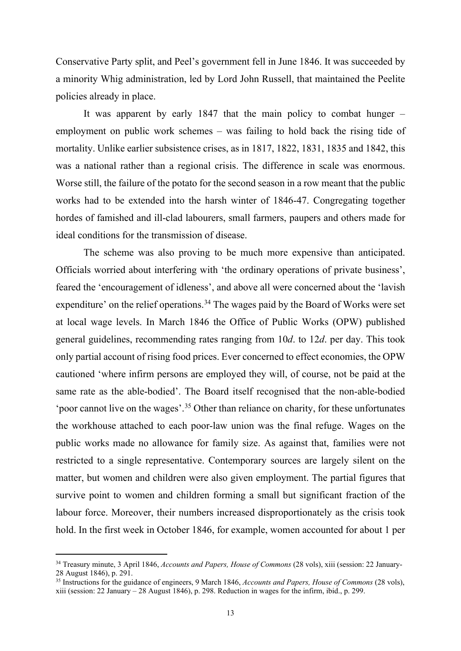Conservative Party split, and Peel's government fell in June 1846. It was succeeded by a minority Whig administration, led by Lord John Russell, that maintained the Peelite policies already in place.

It was apparent by early 1847 that the main policy to combat hunger  $$ employment on public work schemes – was failing to hold back the rising tide of mortality. Unlike earlier subsistence crises, as in 1817, 1822, 1831, 1835 and 1842, this was a national rather than a regional crisis. The difference in scale was enormous. Worse still, the failure of the potato for the second season in a row meant that the public works had to be extended into the harsh winter of 1846-47. Congregating together hordes of famished and ill-clad labourers, small farmers, paupers and others made for ideal conditions for the transmission of disease.

The scheme was also proving to be much more expensive than anticipated. Officials worried about interfering with 'the ordinary operations of private business', feared the 'encouragement of idleness', and above all were concerned about the 'lavish expenditure' on the relief operations.<sup>[34](#page-13-0)</sup> The wages paid by the Board of Works were set at local wage levels. In March 1846 the Office of Public Works (OPW) published general guidelines, recommending rates ranging from 10*d*. to 12*d*. per day. This took only partial account of rising food prices. Ever concerned to effect economies, the OPW cautioned 'where infirm persons are employed they will, of course, not be paid at the same rate as the able-bodied'. The Board itself recognised that the non-able-bodied 'poor cannot live on the wages'.[35](#page-13-1) Other than reliance on charity, for these unfortunates the workhouse attached to each poor-law union was the final refuge. Wages on the public works made no allowance for family size. As against that, families were not restricted to a single representative. Contemporary sources are largely silent on the matter, but women and children were also given employment. The partial figures that survive point to women and children forming a small but significant fraction of the labour force. Moreover, their numbers increased disproportionately as the crisis took hold. In the first week in October 1846, for example, women accounted for about 1 per

<span id="page-13-0"></span><sup>34</sup> Treasury minute, 3 April 1846, *Accounts and Papers, House of Commons* (28 vols), xiii (session: 22 January-28 August 1846), p. 291.

<span id="page-13-1"></span><sup>35</sup> Instructions for the guidance of engineers, 9 March 1846, *Accounts and Papers, House of Commons* (28 vols), xiii (session: 22 January – 28 August 1846), p. 298. Reduction in wages for the infirm, ibid., p. 299.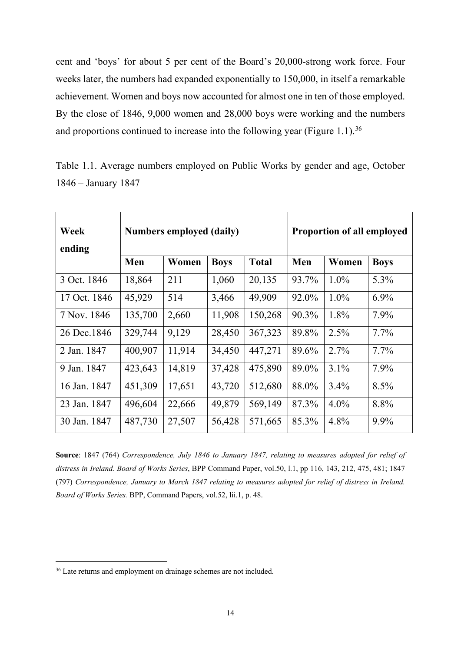cent and 'boys' for about 5 per cent of the Board's 20,000-strong work force. Four weeks later, the numbers had expanded exponentially to 150,000, in itself a remarkable achievement. Women and boys now accounted for almost one in ten of those employed. By the close of 1846, 9,000 women and 28,000 boys were working and the numbers and proportions continued to increase into the following year (Figure 1.1).<sup>[36](#page-14-0)</sup>

| Week<br>ending | <b>Numbers employed (daily)</b> |        |             |              | <b>Proportion of all employed</b> |         |             |
|----------------|---------------------------------|--------|-------------|--------------|-----------------------------------|---------|-------------|
|                | Men                             | Women  | <b>Boys</b> | <b>Total</b> | Men                               | Women   | <b>Boys</b> |
| 3 Oct. 1846    | 18,864                          | 211    | 1,060       | 20,135       | 93.7%                             | $1.0\%$ | 5.3%        |
| 17 Oct. 1846   | 45,929                          | 514    | 3,466       | 49,909       | 92.0%                             | $1.0\%$ | $6.9\%$     |
| 7 Nov. 1846    | 135,700                         | 2,660  | 11,908      | 150,268      | 90.3%                             | 1.8%    | 7.9%        |
| 26 Dec. 1846   | 329,744                         | 9,129  | 28,450      | 367,323      | 89.8%                             | 2.5%    | $7.7\%$     |
| 2 Jan. 1847    | 400,907                         | 11,914 | 34,450      | 447,271      | 89.6%                             | 2.7%    | $7.7\%$     |
| 9 Jan. 1847    | 423,643                         | 14,819 | 37,428      | 475,890      | 89.0%                             | $3.1\%$ | 7.9%        |
| 16 Jan. 1847   | 451,309                         | 17,651 | 43,720      | 512,680      | 88.0%                             | $3.4\%$ | 8.5%        |
| 23 Jan. 1847   | 496,604                         | 22,666 | 49,879      | 569,149      | 87.3%                             | $4.0\%$ | 8.8%        |
| 30 Jan. 1847   | 487,730                         | 27,507 | 56,428      | 571,665      | 85.3%                             | 4.8%    | 9.9%        |

Table 1.1. Average numbers employed on Public Works by gender and age, October 1846 – January 1847

**Source**: 1847 (764) *Correspondence, July 1846 to January 1847, relating to measures adopted for relief of distress in Ireland. Board of Works Series*, BPP Command Paper, vol.50, l.1, pp 116, 143, 212, 475, 481; 1847 (797) *Correspondence, January to March 1847 relating to measures adopted for relief of distress in Ireland. Board of Works Series.* BPP, Command Papers, vol.52, lii.1, p. 48.

<span id="page-14-0"></span><sup>&</sup>lt;sup>36</sup> Late returns and employment on drainage schemes are not included.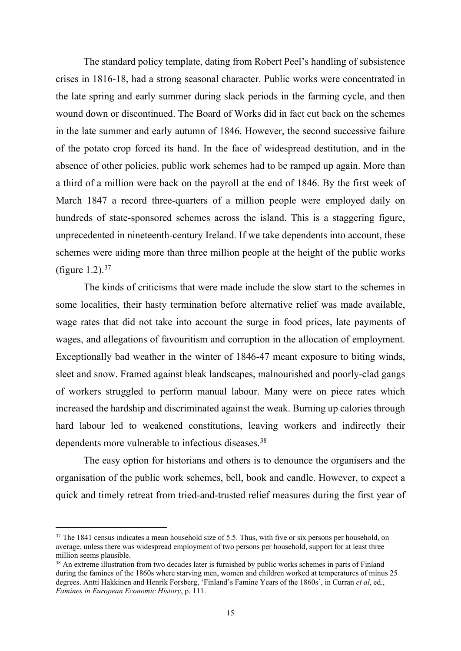The standard policy template, dating from Robert Peel's handling of subsistence crises in 1816-18, had a strong seasonal character. Public works were concentrated in the late spring and early summer during slack periods in the farming cycle, and then wound down or discontinued. The Board of Works did in fact cut back on the schemes in the late summer and early autumn of 1846. However, the second successive failure of the potato crop forced its hand. In the face of widespread destitution, and in the absence of other policies, public work schemes had to be ramped up again. More than a third of a million were back on the payroll at the end of 1846. By the first week of March 1847 a record three-quarters of a million people were employed daily on hundreds of state-sponsored schemes across the island. This is a staggering figure, unprecedented in nineteenth-century Ireland. If we take dependents into account, these schemes were aiding more than three million people at the height of the public works (figure 1.2).  $37$ 

The kinds of criticisms that were made include the slow start to the schemes in some localities, their hasty termination before alternative relief was made available, wage rates that did not take into account the surge in food prices, late payments of wages, and allegations of favouritism and corruption in the allocation of employment. Exceptionally bad weather in the winter of 1846-47 meant exposure to biting winds, sleet and snow. Framed against bleak landscapes, malnourished and poorly-clad gangs of workers struggled to perform manual labour. Many were on piece rates which increased the hardship and discriminated against the weak. Burning up calories through hard labour led to weakened constitutions, leaving workers and indirectly their dependents more vulnerable to infectious diseases.<sup>[38](#page-15-1)</sup>

The easy option for historians and others is to denounce the organisers and the organisation of the public work schemes, bell, book and candle. However, to expect a quick and timely retreat from tried-and-trusted relief measures during the first year of

<span id="page-15-0"></span><sup>&</sup>lt;sup>37</sup> The 1841 census indicates a mean household size of 5.5. Thus, with five or six persons per household, on average, unless there was widespread employment of two persons per household, support for at least three million seems plausible.<br><sup>38</sup> An extreme illustration from two decades later is furnished by public works schemes in parts of Finland

<span id="page-15-1"></span>during the famines of the 1860s where starving men, women and children worked at temperatures of minus 25 degrees. Antti Hakkinen and Henrik Forsberg, 'Finland's Famine Years of the 1860s', in Curran *et al*, ed., *Famines in European Economic History*, p. 111.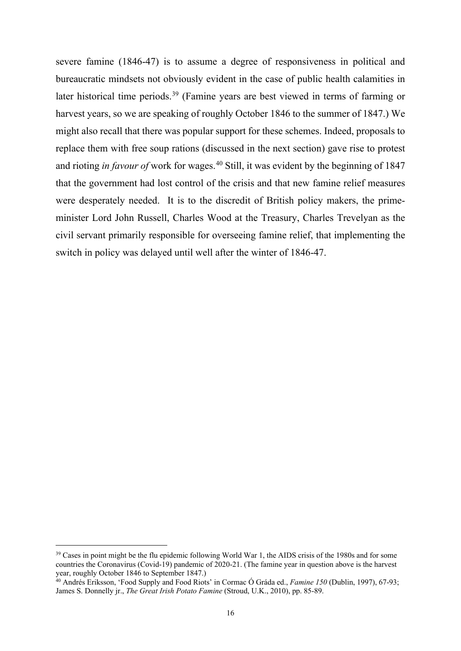severe famine (1846-47) is to assume a degree of responsiveness in political and bureaucratic mindsets not obviously evident in the case of public health calamities in later historical time periods.[39](#page-16-0) (Famine years are best viewed in terms of farming or harvest years, so we are speaking of roughly October 1846 to the summer of 1847.) We might also recall that there was popular support for these schemes. Indeed, proposals to replace them with free soup rations (discussed in the next section) gave rise to protest and rioting *in favour of* work for wages.<sup>[40](#page-16-1)</sup> Still, it was evident by the beginning of 1847 that the government had lost control of the crisis and that new famine relief measures were desperately needed. It is to the discredit of British policy makers, the primeminister Lord John Russell, Charles Wood at the Treasury, Charles Trevelyan as the civil servant primarily responsible for overseeing famine relief, that implementing the switch in policy was delayed until well after the winter of 1846-47.

<span id="page-16-0"></span><sup>&</sup>lt;sup>39</sup> Cases in point might be the flu epidemic following World War 1, the AIDS crisis of the 1980s and for some countries the Coronavirus (Covid-19) pandemic of 2020-21. (The famine year in question above is the harvest year, roughly October 1846 to September 1847.)

<span id="page-16-1"></span><sup>40</sup> Andrés Eriksson, 'Food Supply and Food Riots' in Cormac Ó Gráda ed., *Famine 150* (Dublin, 1997), 67-93; James S. Donnelly jr., *The Great Irish Potato Famine* (Stroud, U.K., 2010), pp. 85-89.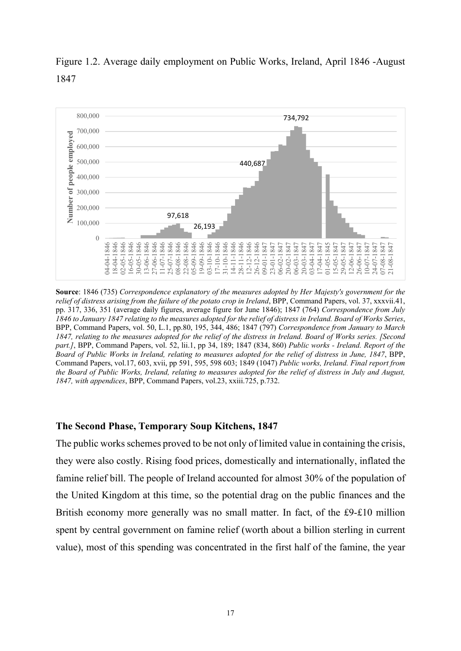

Figure 1.2. Average daily employment on Public Works, Ireland, April 1846 -August 1847

**Source**: 1846 (735) *Correspondence explanatory of the measures adopted by Her Majesty's government for the relief of distress arising from the failure of the potato crop in Ireland*, BPP, Command Papers, vol. 37, xxxvii.41, pp. 317, 336, 351 (average daily figures, average figure for June 1846); 1847 (764) *Correspondence from July 1846 to January 1847 relating to the measures adopted for the relief of distress in Ireland. Board of Works Series*, BPP, Command Papers, vol. 50, L.1, pp.80, 195, 344, 486; 1847 (797) *Correspondence from January to March 1847, relating to the measures adopted for the relief of the distress in Ireland. Board of Works series. [Second part.]*, BPP, Command Papers, vol. 52, lii.1, pp 34, 189; 1847 (834, 860) *Public works - Ireland. Report of the Board of Public Works in Ireland, relating to measures adopted for the relief of distress in June, 1847*, BPP, Command Papers, vol.17, 603, xvii, pp 591, 595, 598 603; 1849 (1047) *Public works, Ireland. Final report from the Board of Public Works, Ireland, relating to measures adopted for the relief of distress in July and August, 1847, with appendices*, BPP, Command Papers, vol.23, xxiii.725, p.732.

# **The Second Phase, Temporary Soup Kitchens, 1847**

The public works schemes proved to be not only of limited value in containing the crisis, they were also costly. Rising food prices, domestically and internationally, inflated the famine relief bill. The people of Ireland accounted for almost 30% of the population of the United Kingdom at this time, so the potential drag on the public finances and the British economy more generally was no small matter. In fact, of the £9-£10 million spent by central government on famine relief (worth about a billion sterling in current value), most of this spending was concentrated in the first half of the famine, the year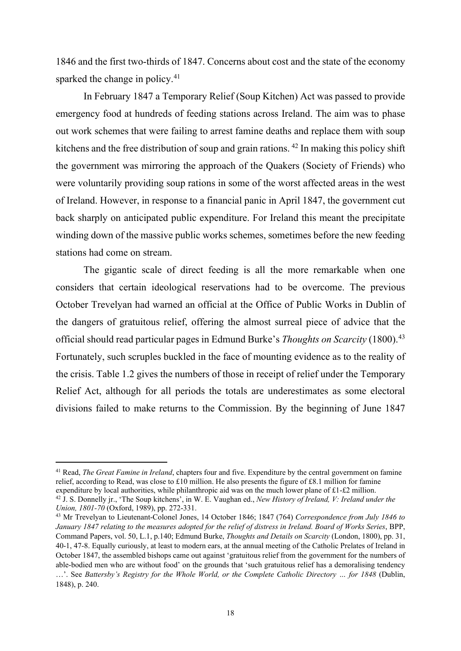1846 and the first two-thirds of 1847. Concerns about cost and the state of the economy sparked the change in policy.<sup>41</sup>

In February 1847 a Temporary Relief (Soup Kitchen) Act was passed to provide emergency food at hundreds of feeding stations across Ireland. The aim was to phase out work schemes that were failing to arrest famine deaths and replace them with soup kitchens and the free distribution of soup and grain rations. [42](#page-18-1) In making this policy shift the government was mirroring the approach of the Quakers (Society of Friends) who were voluntarily providing soup rations in some of the worst affected areas in the west of Ireland. However, in response to a financial panic in April 1847, the government cut back sharply on anticipated public expenditure. For Ireland this meant the precipitate winding down of the massive public works schemes, sometimes before the new feeding stations had come on stream.

The gigantic scale of direct feeding is all the more remarkable when one considers that certain ideological reservations had to be overcome. The previous October Trevelyan had warned an official at the Office of Public Works in Dublin of the dangers of gratuitous relief, offering the almost surreal piece of advice that the official should read particular pages in Edmund Burke's *Thoughts on Scarcity* (1800).[43](#page-18-2) Fortunately, such scruples buckled in the face of mounting evidence as to the reality of the crisis. Table 1.2 gives the numbers of those in receipt of relief under the Temporary Relief Act, although for all periods the totals are underestimates as some electoral divisions failed to make returns to the Commission. By the beginning of June 1847

<span id="page-18-0"></span><sup>41</sup> Read, *The Great Famine in Ireland*, chapters four and five. Expenditure by the central government on famine relief, according to Read, was close to £10 million. He also presents the figure of £8.1 million for famine expenditure by local authorities, while philanthropic aid was on the much lower plane of  $\pounds$ 1- $\pounds$ 2 million.

<span id="page-18-1"></span><sup>42</sup> J. S. Donnelly jr., 'The Soup kitchens', in W. E. Vaughan ed., *New History of Ireland, V: Ireland under the Union, 1801-70* (Oxford, 1989), pp. 272-331.

<span id="page-18-2"></span><sup>43</sup> Mr Trevelyan to Lieutenant-Colonel Jones, 14 October 1846; 1847 (764) *Correspondence from July 1846 to January 1847 relating to the measures adopted for the relief of distress in Ireland. Board of Works Series*, BPP, Command Papers, vol. 50, L.1, p.140; Edmund Burke, *Thoughts and Details on Scarcity* (London, 1800), pp. 31, 40-1, 47-8. Equally curiously, at least to modern ears, at the annual meeting of the Catholic Prelates of Ireland in October 1847, the assembled bishops came out against 'gratuitous relief from the government for the numbers of able-bodied men who are without food' on the grounds that 'such gratuitous relief has a demoralising tendency ...'. See *Battersby's Registry for the Whole World, or the Complete Catholic Directory ... for 1848* (Dublin, 1848), p. 240.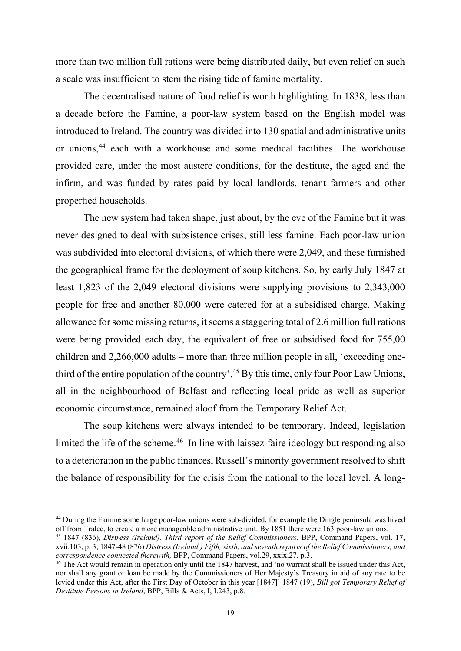more than two million full rations were being distributed daily, but even relief on such a scale was insufficient to stem the rising tide of famine mortality.

The decentralised nature of food relief is worth highlighting. In 1838, less than a decade before the Famine, a poor-law system based on the English model was introduced to Ireland. The country was divided into 130 spatial and administrative units or unions,[44](#page-19-0) each with a workhouse and some medical facilities. The workhouse provided care, under the most austere conditions, for the destitute, the aged and the infirm, and was funded by rates paid by local landlords, tenant farmers and other propertied households.

The new system had taken shape, just about, by the eve of the Famine but it was never designed to deal with subsistence crises, still less famine. Each poor-law union was subdivided into electoral divisions, of which there were 2,049, and these furnished the geographical frame for the deployment of soup kitchens. So, by early July 1847 at least 1,823 of the 2,049 electoral divisions were supplying provisions to 2,343,000 people for free and another 80,000 were catered for at a subsidised charge. Making allowance for some missing returns, it seems a staggering total of 2.6 million full rations were being provided each day, the equivalent of free or subsidised food for 755,00 children and 2,266,000 adults – more than three million people in all, 'exceeding one-third of the entire population of the country'.<sup>[45](#page-19-1)</sup> By this time, only four Poor Law Unions, all in the neighbourhood of Belfast and reflecting local pride as well as superior economic circumstance, remained aloof from the Temporary Relief Act.

The soup kitchens were always intended to be temporary. Indeed, legislation limited the life of the scheme.<sup>[46](#page-19-2)</sup> In line with laissez-faire ideology but responding also to a deterioration in the public finances, Russell's minority government resolved to shift the balance of responsibility for the crisis from the national to the local level. A long-

<span id="page-19-0"></span><sup>&</sup>lt;sup>44</sup> During the Famine some large poor-law unions were sub-divided, for example the Dingle peninsula was hived off from Tralee, to create a more manageable administrative unit. By 1851 there were 163 poor-law unions.

<span id="page-19-1"></span><sup>&</sup>lt;sup>45</sup> 1847 (836), *Distress (Ireland). Third report of the Relief Commissioners*, BPP, Command Papers, vol. 17, xvii.103, p. 3; 1847-48 (876) *Distress (Ireland.) Fifth, sixth, and seventh reports of the Relief Commissioners, and correspondence connected therewith,* BPP, Command Papers, vol.29, xxix.27, p.3.

<span id="page-19-2"></span><sup>46</sup> The Act would remain in operation only until the 1847 harvest, and 'no warrant shall be issued under this Act, nor shall any grant or loan be made by the Commissioners of Her Majesty's Treasury in aid of any rate to be levied under this Act, after the First Day of October in this year [1847]' 1847 (19), *Bill got Temporary Relief of Destitute Persons in Ireland*, BPP, Bills & Acts, I, I.243, p.8.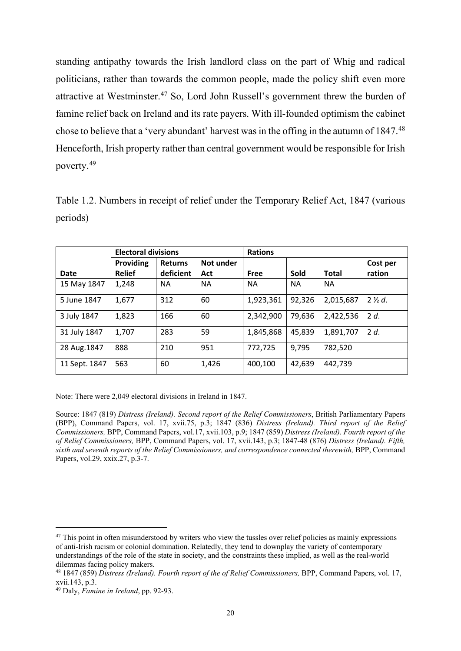standing antipathy towards the Irish landlord class on the part of Whig and radical politicians, rather than towards the common people, made the policy shift even more attractive at Westminster.[47](#page-20-0) So, Lord John Russell's government threw the burden of famine relief back on Ireland and its rate payers. With ill-founded optimism the cabinet chose to believe that a 'very abundant' harvest was in the offing in the autumn of 1847.<sup>[48](#page-20-1)</sup> Henceforth, Irish property rather than central government would be responsible for Irish poverty.[49](#page-20-2)

Table 1.2. Numbers in receipt of relief under the Temporary Relief Act, 1847 (various periods)

|               | <b>Electoral divisions</b> |                             |                  | <b>Rations</b> |           |              |                    |
|---------------|----------------------------|-----------------------------|------------------|----------------|-----------|--------------|--------------------|
| Date          | Providing<br><b>Relief</b> | <b>Returns</b><br>deficient | Not under<br>Act | Free           | Sold      | <b>Total</b> | Cost per<br>ration |
| 15 May 1847   | 1,248                      | <b>NA</b>                   | NΑ               | <b>NA</b>      | <b>NA</b> | <b>NA</b>    |                    |
| 5 June 1847   | 1,677                      | 312                         | 60               | 1,923,361      | 92,326    | 2,015,687    | $2\frac{1}{2}d$ .  |
| 3 July 1847   | 1,823                      | 166                         | 60               | 2,342,900      | 79,636    | 2,422,536    | 2d.                |
| 31 July 1847  | 1,707                      | 283                         | 59               | 1,845,868      | 45,839    | 1,891,707    | 2 d.               |
| 28 Aug. 1847  | 888                        | 210                         | 951              | 772,725        | 9,795     | 782,520      |                    |
| 11 Sept. 1847 | 563                        | 60                          | 1,426            | 400,100        | 42,639    | 442,739      |                    |

Note: There were 2,049 electoral divisions in Ireland in 1847.

Source: 1847 (819) *Distress (Ireland). Second report of the Relief Commissioners*, British Parliamentary Papers (BPP), Command Papers, vol. 17, xvii.75, p.3; 1847 (836) *Distress (Ireland). Third report of the Relief Commissioners,* BPP, Command Papers, vol.17, xvii.103, p.9; 1847 (859) *Distress (Ireland). Fourth report of the of Relief Commissioners,* BPP, Command Papers, vol. 17, xvii.143, p.3; 1847-48 (876) *Distress (Ireland). Fifth, sixth and seventh reports of the Relief Commissioners, and correspondence connected therewith,* BPP, Command Papers, vol.29, xxix.27, p.3-7.

<span id="page-20-0"></span> $47$  This point in often misunderstood by writers who view the tussles over relief policies as mainly expressions of anti-Irish racism or colonial domination. Relatedly, they tend to downplay the variety of contemporary understandings of the role of the state in society, and the constraints these implied, as well as the real-world dilemmas facing policy makers.

<span id="page-20-1"></span><sup>48</sup> 1847 (859) *Distress (Ireland). Fourth report of the of Relief Commissioners,* BPP, Command Papers, vol. 17, xvii.143, p.3.

<span id="page-20-2"></span><sup>49</sup> Daly, *Famine in Ireland*, pp. 92-93.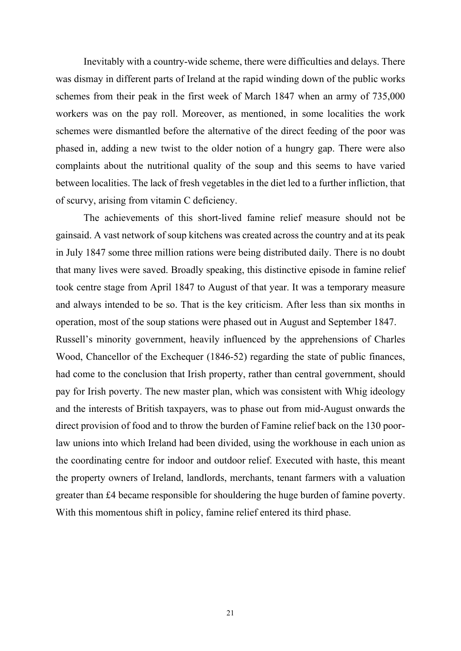Inevitably with a country-wide scheme, there were difficulties and delays. There was dismay in different parts of Ireland at the rapid winding down of the public works schemes from their peak in the first week of March 1847 when an army of 735,000 workers was on the pay roll. Moreover, as mentioned, in some localities the work schemes were dismantled before the alternative of the direct feeding of the poor was phased in, adding a new twist to the older notion of a hungry gap. There were also complaints about the nutritional quality of the soup and this seems to have varied between localities. The lack of fresh vegetables in the diet led to a further infliction, that of scurvy, arising from vitamin C deficiency.

The achievements of this short-lived famine relief measure should not be gainsaid. A vast network of soup kitchens was created across the country and at its peak in July 1847 some three million rations were being distributed daily. There is no doubt that many lives were saved. Broadly speaking, this distinctive episode in famine relief took centre stage from April 1847 to August of that year. It was a temporary measure and always intended to be so. That is the key criticism. After less than six months in operation, most of the soup stations were phased out in August and September 1847. Russell's minority government, heavily influenced by the apprehensions of Charles Wood, Chancellor of the Exchequer (1846-52) regarding the state of public finances, had come to the conclusion that Irish property, rather than central government, should pay for Irish poverty. The new master plan, which was consistent with Whig ideology and the interests of British taxpayers, was to phase out from mid-August onwards the direct provision of food and to throw the burden of Famine relief back on the 130 poorlaw unions into which Ireland had been divided, using the workhouse in each union as the coordinating centre for indoor and outdoor relief. Executed with haste, this meant the property owners of Ireland, landlords, merchants, tenant farmers with a valuation greater than £4 became responsible for shouldering the huge burden of famine poverty. With this momentous shift in policy, famine relief entered its third phase.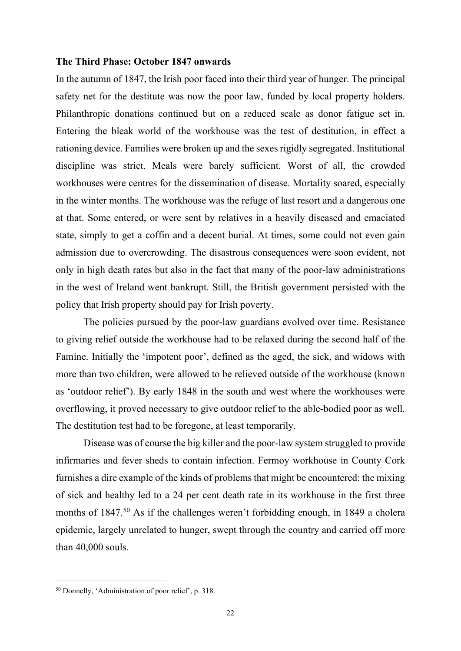#### **The Third Phase: October 1847 onwards**

In the autumn of 1847, the Irish poor faced into their third year of hunger. The principal safety net for the destitute was now the poor law, funded by local property holders. Philanthropic donations continued but on a reduced scale as donor fatigue set in. Entering the bleak world of the workhouse was the test of destitution, in effect a rationing device. Families were broken up and the sexes rigidly segregated. Institutional discipline was strict. Meals were barely sufficient. Worst of all, the crowded workhouses were centres for the dissemination of disease. Mortality soared, especially in the winter months. The workhouse was the refuge of last resort and a dangerous one at that. Some entered, or were sent by relatives in a heavily diseased and emaciated state, simply to get a coffin and a decent burial. At times, some could not even gain admission due to overcrowding. The disastrous consequences were soon evident, not only in high death rates but also in the fact that many of the poor-law administrations in the west of Ireland went bankrupt. Still, the British government persisted with the policy that Irish property should pay for Irish poverty.

The policies pursued by the poor-law guardians evolved over time. Resistance to giving relief outside the workhouse had to be relaxed during the second half of the Famine. Initially the 'impotent poor', defined as the aged, the sick, and widows with more than two children, were allowed to be relieved outside of the workhouse (known as 'outdoor relief'). By early 1848 in the south and west where the workhouses were overflowing, it proved necessary to give outdoor relief to the able-bodied poor as well. The destitution test had to be foregone, at least temporarily.

Disease was of course the big killer and the poor-law system struggled to provide infirmaries and fever sheds to contain infection. Fermoy workhouse in County Cork furnishes a dire example of the kinds of problems that might be encountered: the mixing of sick and healthy led to a 24 per cent death rate in its workhouse in the first three months of 1847.<sup>[50](#page-22-0)</sup> As if the challenges weren't forbidding enough, in 1849 a cholera epidemic, largely unrelated to hunger, swept through the country and carried off more than 40,000 souls.

<span id="page-22-0"></span><sup>50</sup> Donnelly, 'Administration of poor relief', p. 318.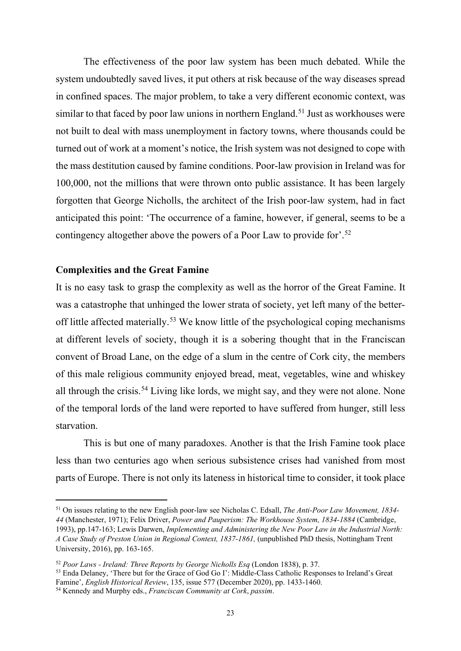The effectiveness of the poor law system has been much debated. While the system undoubtedly saved lives, it put others at risk because of the way diseases spread in confined spaces. The major problem, to take a very different economic context, was similar to that faced by poor law unions in northern England.<sup>[51](#page-23-0)</sup> Just as workhouses were not built to deal with mass unemployment in factory towns, where thousands could be turned out of work at a moment's notice, the Irish system was not designed to cope with the mass destitution caused by famine conditions. Poor-law provision in Ireland was for 100,000, not the millions that were thrown onto public assistance. It has been largely forgotten that George Nicholls, the architect of the Irish poor-law system, had in fact anticipated this point: 'The occurrence of a famine, however, if general, seems to be a contingency altogether above the powers of a Poor Law to provide for'.<sup>[52](#page-23-1)</sup>

# **Complexities and the Great Famine**

It is no easy task to grasp the complexity as well as the horror of the Great Famine. It was a catastrophe that unhinged the lower strata of society, yet left many of the better-off little affected materially.<sup>[53](#page-23-2)</sup> We know little of the psychological coping mechanisms at different levels of society, though it is a sobering thought that in the Franciscan convent of Broad Lane, on the edge of a slum in the centre of Cork city, the members of this male religious community enjoyed bread, meat, vegetables, wine and whiskey all through the crisis.[54](#page-23-3) Living like lords, we might say, and they were not alone. None of the temporal lords of the land were reported to have suffered from hunger, still less starvation.

This is but one of many paradoxes. Another is that the Irish Famine took place less than two centuries ago when serious subsistence crises had vanished from most parts of Europe. There is not only its lateness in historical time to consider, it took place

<span id="page-23-0"></span><sup>51</sup> On issues relating to the new English poor-law see Nicholas C. Edsall, *The Anti-Poor Law Movement, 1834- 44* (Manchester, 1971); Felix Driver, *Power and Pauperism: The Workhouse System, 1834-1884* (Cambridge, 1993), pp.147-163; Lewis Darwen, *Implementing and Administering the New Poor Law in the Industrial North: A Case Study of Preston Union in Regional Context, 1837-1861,* (unpublished PhD thesis, Nottingham Trent University, 2016), pp. 163-165.

<span id="page-23-2"></span><sup>53</sup> Enda Delaney, 'There but for the Grace of God Go I': Middle-Class Catholic Responses to Ireland's Great Famine', *English Historical Review*, 135, issue 577 (December 2020), pp. 1433-1460.

<span id="page-23-1"></span><sup>52</sup> *Poor Laws - Ireland: Three Reports by George Nicholls Esq* (London 1838), p. 37.

<span id="page-23-3"></span><sup>54</sup> Kennedy and Murphy eds., *Franciscan Community at Cork*, *passim*.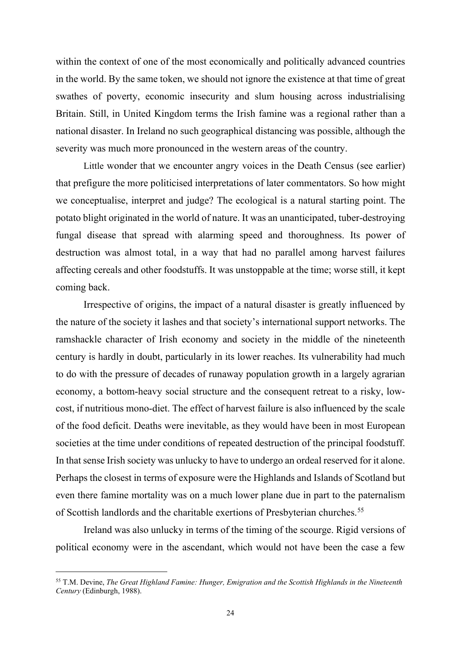within the context of one of the most economically and politically advanced countries in the world. By the same token, we should not ignore the existence at that time of great swathes of poverty, economic insecurity and slum housing across industrialising Britain. Still, in United Kingdom terms the Irish famine was a regional rather than a national disaster. In Ireland no such geographical distancing was possible, although the severity was much more pronounced in the western areas of the country.

Little wonder that we encounter angry voices in the Death Census (see earlier) that prefigure the more politicised interpretations of later commentators. So how might we conceptualise, interpret and judge? The ecological is a natural starting point. The potato blight originated in the world of nature. It was an unanticipated, tuber-destroying fungal disease that spread with alarming speed and thoroughness. Its power of destruction was almost total, in a way that had no parallel among harvest failures affecting cereals and other foodstuffs. It was unstoppable at the time; worse still, it kept coming back.

Irrespective of origins, the impact of a natural disaster is greatly influenced by the nature of the society it lashes and that society's international support networks. The ramshackle character of Irish economy and society in the middle of the nineteenth century is hardly in doubt, particularly in its lower reaches. Its vulnerability had much to do with the pressure of decades of runaway population growth in a largely agrarian economy, a bottom-heavy social structure and the consequent retreat to a risky, lowcost, if nutritious mono-diet. The effect of harvest failure is also influenced by the scale of the food deficit. Deaths were inevitable, as they would have been in most European societies at the time under conditions of repeated destruction of the principal foodstuff. In that sense Irish society was unlucky to have to undergo an ordeal reserved for it alone. Perhaps the closest in terms of exposure were the Highlands and Islands of Scotland but even there famine mortality was on a much lower plane due in part to the paternalism of Scottish landlords and the charitable exertions of Presbyterian churches.<sup>[55](#page-24-0)</sup>

Ireland was also unlucky in terms of the timing of the scourge. Rigid versions of political economy were in the ascendant, which would not have been the case a few

<span id="page-24-0"></span><sup>55</sup> T.M. Devine, *The Great Highland Famine: Hunger, Emigration and the Scottish Highlands in the Nineteenth Century* (Edinburgh, 1988).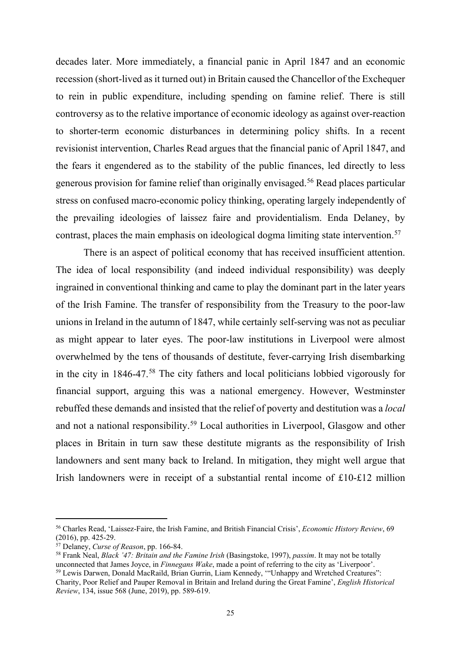decades later. More immediately, a financial panic in April 1847 and an economic recession (short-lived as it turned out) in Britain caused the Chancellor of the Exchequer to rein in public expenditure, including spending on famine relief. There is still controversy as to the relative importance of economic ideology as against over-reaction to shorter-term economic disturbances in determining policy shifts. In a recent revisionist intervention, Charles Read argues that the financial panic of April 1847, and the fears it engendered as to the stability of the public finances, led directly to less generous provision for famine relief than originally envisaged.[56](#page-25-0) Read places particular stress on confused macro-economic policy thinking, operating largely independently of the prevailing ideologies of laissez faire and providentialism. Enda Delaney, by contrast, places the main emphasis on ideological dogma limiting state intervention.<sup>[57](#page-25-1)</sup>

There is an aspect of political economy that has received insufficient attention. The idea of local responsibility (and indeed individual responsibility) was deeply ingrained in conventional thinking and came to play the dominant part in the later years of the Irish Famine. The transfer of responsibility from the Treasury to the poor-law unions in Ireland in the autumn of 1847, while certainly self-serving was not as peculiar as might appear to later eyes. The poor-law institutions in Liverpool were almost overwhelmed by the tens of thousands of destitute, fever-carrying Irish disembarking in the city in 1846-47.[58](#page-25-2) The city fathers and local politicians lobbied vigorously for financial support, arguing this was a national emergency. However, Westminster rebuffed these demands and insisted that the relief of poverty and destitution was a *local* and not a national responsibility.[59](#page-25-3) Local authorities in Liverpool, Glasgow and other places in Britain in turn saw these destitute migrants as the responsibility of Irish landowners and sent many back to Ireland. In mitigation, they might well argue that Irish landowners were in receipt of a substantial rental income of £10-£12 million

<span id="page-25-0"></span><sup>56</sup> Charles Read, 'Laissez-Faire, the Irish Famine, and British Financial Crisis', *Economic History Review*, 69 (2016), pp. 425-29.

<span id="page-25-1"></span><sup>57</sup> Delaney, *Curse of Reason*, pp. 166-84.

<span id="page-25-2"></span><sup>&</sup>lt;sup>58</sup> Frank Neal, *Black '47: Britain and the Famine Irish* (Basingstoke, 1997), *passim*. It may not be totally unconnected that James Joyce, in *Finnegans Wake*, made a point of referring to the city as 'Liverpoor'. <sup>59</sup> Lewis Darwen, Donald MacRaild, Brian Gurrin, Liam Kennedy, "Unhappy and Wretched Creatures": Charity, Poor Relief and Pauper Removal in Britain and Ireland during the Great Famine', *English Historical* 

<span id="page-25-3"></span>*Review*, 134, issue 568 (June, 2019), pp. 589-619.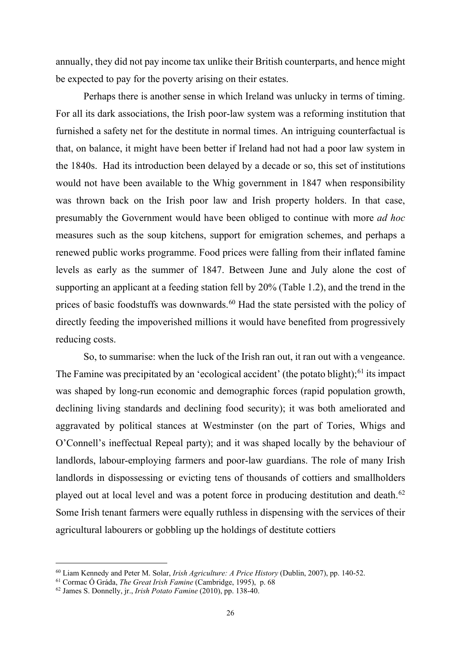annually, they did not pay income tax unlike their British counterparts, and hence might be expected to pay for the poverty arising on their estates.

Perhaps there is another sense in which Ireland was unlucky in terms of timing. For all its dark associations, the Irish poor-law system was a reforming institution that furnished a safety net for the destitute in normal times. An intriguing counterfactual is that, on balance, it might have been better if Ireland had not had a poor law system in the 1840s. Had its introduction been delayed by a decade or so, this set of institutions would not have been available to the Whig government in 1847 when responsibility was thrown back on the Irish poor law and Irish property holders. In that case, presumably the Government would have been obliged to continue with more *ad hoc* measures such as the soup kitchens, support for emigration schemes, and perhaps a renewed public works programme. Food prices were falling from their inflated famine levels as early as the summer of 1847. Between June and July alone the cost of supporting an applicant at a feeding station fell by 20% (Table 1.2), and the trend in the prices of basic foodstuffs was downwards.<sup>[60](#page-26-0)</sup> Had the state persisted with the policy of directly feeding the impoverished millions it would have benefited from progressively reducing costs.

So, to summarise: when the luck of the Irish ran out, it ran out with a vengeance. The Famine was precipitated by an 'ecological accident' (the potato blight); $61$  its impact was shaped by long-run economic and demographic forces (rapid population growth, declining living standards and declining food security); it was both ameliorated and aggravated by political stances at Westminster (on the part of Tories, Whigs and O'Connell's ineffectual Repeal party); and it was shaped locally by the behaviour of landlords, labour-employing farmers and poor-law guardians. The role of many Irish landlords in dispossessing or evicting tens of thousands of cottiers and smallholders played out at local level and was a potent force in producing destitution and death.<sup>[62](#page-26-2)</sup> Some Irish tenant farmers were equally ruthless in dispensing with the services of their agricultural labourers or gobbling up the holdings of destitute cottiers

<span id="page-26-0"></span><sup>60</sup> Liam Kennedy and Peter M. Solar, *Irish Agriculture: A Price History* (Dublin, 2007), pp. 140-52.

<span id="page-26-1"></span><sup>61</sup> Cormac Ó Gráda, *The Great Irish Famine* (Cambridge, 1995), p. 68

<span id="page-26-2"></span><sup>62</sup> James S. Donnelly, jr., *Irish Potato Famine* (2010), pp. 138-40.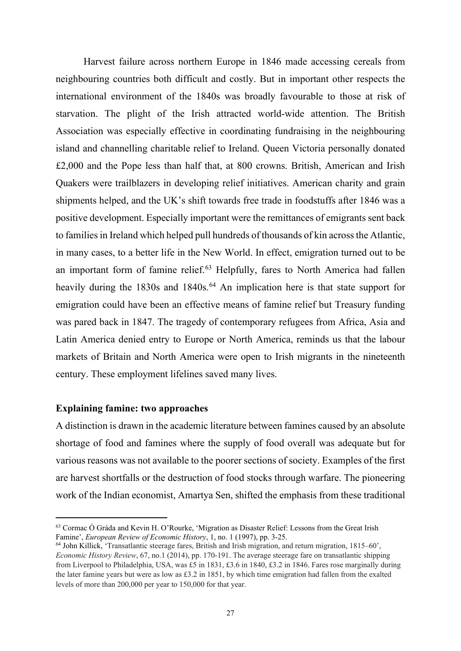Harvest failure across northern Europe in 1846 made accessing cereals from neighbouring countries both difficult and costly. But in important other respects the international environment of the 1840s was broadly favourable to those at risk of starvation. The plight of the Irish attracted world-wide attention. The British Association was especially effective in coordinating fundraising in the neighbouring island and channelling charitable relief to Ireland. Queen Victoria personally donated £2,000 and the Pope less than half that, at 800 crowns. British, American and Irish Quakers were trailblazers in developing relief initiatives. American charity and grain shipments helped, and the UK's shift towards free trade in foodstuffs after 1846 was a positive development. Especially important were the remittances of emigrants sent back to families in Ireland which helped pull hundreds of thousands of kin across the Atlantic, in many cases, to a better life in the New World. In effect, emigration turned out to be an important form of famine relief.<sup>[63](#page-27-0)</sup> Helpfully, fares to North America had fallen heavily during the 1830s and 1840s.<sup>[64](#page-27-1)</sup> An implication here is that state support for emigration could have been an effective means of famine relief but Treasury funding was pared back in 1847. The tragedy of contemporary refugees from Africa, Asia and Latin America denied entry to Europe or North America, reminds us that the labour markets of Britain and North America were open to Irish migrants in the nineteenth century. These employment lifelines saved many lives.

# **Explaining famine: two approaches**

A distinction is drawn in the academic literature between famines caused by an absolute shortage of food and famines where the supply of food overall was adequate but for various reasons was not available to the poorer sections of society. Examples of the first are harvest shortfalls or the destruction of food stocks through warfare. The pioneering work of the Indian economist, Amartya Sen, shifted the emphasis from these traditional

<span id="page-27-0"></span><sup>63</sup> Cormac Ó Gráda and Kevin H. O'Rourke, 'Migration as Disaster Relief: Lessons from the Great Irish Famine', *European Review of Economic History*, 1, no. 1 (1997), pp. 3-25.

<span id="page-27-1"></span><sup>64</sup> John Killick, 'Transatlantic steerage fares, British and Irish migration, and return migration, 1815–60', *Economic History Review*, 67, no.1 (2014), pp. 170-191. The average steerage fare on transatlantic shipping from Liverpool to Philadelphia, USA, was £5 in 1831, £3.6 in 1840, £3.2 in 1846. Fares rose marginally during the later famine years but were as low as £3.2 in 1851, by which time emigration had fallen from the exalted levels of more than 200,000 per year to 150,000 for that year.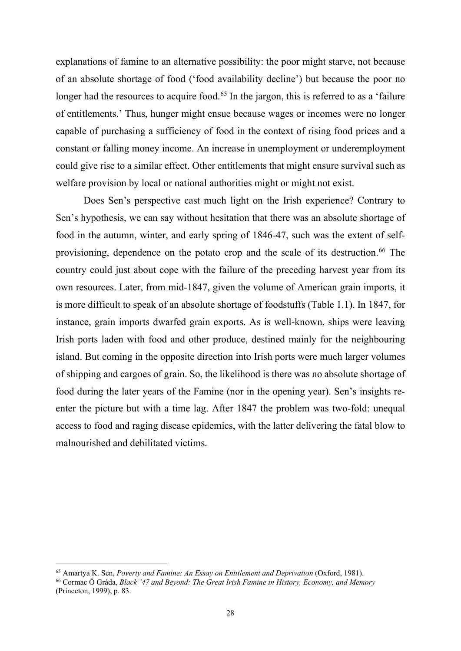explanations of famine to an alternative possibility: the poor might starve, not because of an absolute shortage of food ('food availability decline') but because the poor no longer had the resources to acquire food.<sup>[65](#page-28-0)</sup> In the jargon, this is referred to as a 'failure' of entitlements.' Thus, hunger might ensue because wages or incomes were no longer capable of purchasing a sufficiency of food in the context of rising food prices and a constant or falling money income. An increase in unemployment or underemployment could give rise to a similar effect. Other entitlements that might ensure survival such as welfare provision by local or national authorities might or might not exist.

Does Sen's perspective cast much light on the Irish experience? Contrary to Sen's hypothesis, we can say without hesitation that there was an absolute shortage of food in the autumn, winter, and early spring of 1846-47, such was the extent of self-provisioning, dependence on the potato crop and the scale of its destruction.<sup>[66](#page-28-1)</sup> The country could just about cope with the failure of the preceding harvest year from its own resources. Later, from mid-1847, given the volume of American grain imports, it is more difficult to speak of an absolute shortage of foodstuffs (Table 1.1). In 1847, for instance, grain imports dwarfed grain exports. As is well-known, ships were leaving Irish ports laden with food and other produce, destined mainly for the neighbouring island. But coming in the opposite direction into Irish ports were much larger volumes of shipping and cargoes of grain. So, the likelihood is there was no absolute shortage of food during the later years of the Famine (nor in the opening year). Sen's insights reenter the picture but with a time lag. After 1847 the problem was two-fold: unequal access to food and raging disease epidemics, with the latter delivering the fatal blow to malnourished and debilitated victims.

<span id="page-28-0"></span><sup>65</sup> Amartya K. Sen, *Poverty and Famine: An Essay on Entitlement and Deprivation* (Oxford, 1981).

<span id="page-28-1"></span><sup>66</sup> Cormac Ó Gráda, *Black '47 and Beyond: The Great Irish Famine in History, Economy, and Memory* (Princeton, 1999), p. 83.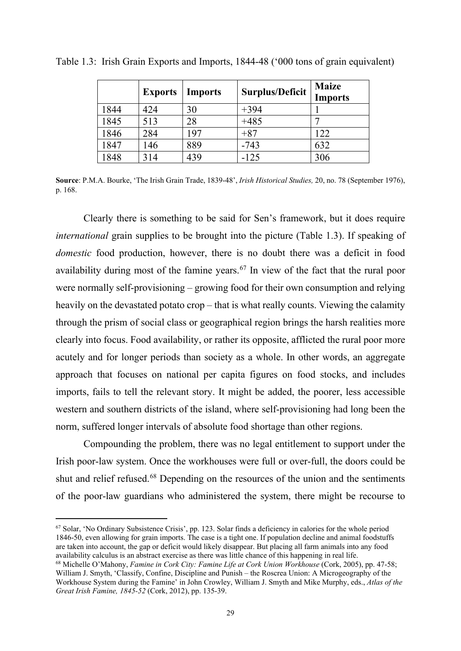|      | <b>Exports</b> | <b>Imports</b> | <b>Surplus/Deficit</b> | <b>Maize</b><br><b>Imports</b> |
|------|----------------|----------------|------------------------|--------------------------------|
| 1844 | 424            | 30             | $+394$                 |                                |
| 1845 | 513            | 28             | $+485$                 |                                |
| 1846 | 284            | 197            | $+87$                  | 122                            |
| 1847 | 146            | 889            | $-743$                 | 632                            |
| 1848 | 314            | 439            | $-125$                 | 306                            |

Table 1.3: Irish Grain Exports and Imports, 1844-48 ('000 tons of grain equivalent)

**Source**: P.M.A. Bourke, 'The Irish Grain Trade, 1839-48', *Irish Historical Studies,* 20, no. 78 (September 1976), p. 168.

Clearly there is something to be said for Sen's framework, but it does require *international* grain supplies to be brought into the picture (Table 1.3). If speaking of *domestic* food production, however, there is no doubt there was a deficit in food availability during most of the famine years.<sup>[67](#page-29-0)</sup> In view of the fact that the rural poor were normally self-provisioning – growing food for their own consumption and relying heavily on the devastated potato crop – that is what really counts. Viewing the calamity through the prism of social class or geographical region brings the harsh realities more clearly into focus. Food availability, or rather its opposite, afflicted the rural poor more acutely and for longer periods than society as a whole. In other words, an aggregate approach that focuses on national per capita figures on food stocks, and includes imports, fails to tell the relevant story. It might be added, the poorer, less accessible western and southern districts of the island, where self-provisioning had long been the norm, suffered longer intervals of absolute food shortage than other regions.

Compounding the problem, there was no legal entitlement to support under the Irish poor-law system. Once the workhouses were full or over-full, the doors could be shut and relief refused.[68](#page-29-1) Depending on the resources of the union and the sentiments of the poor-law guardians who administered the system, there might be recourse to

<span id="page-29-0"></span><sup>67</sup> Solar, 'No Ordinary Subsistence Crisis', pp. 123. Solar finds a deficiency in calories for the whole period 1846-50, even allowing for grain imports. The case is a tight one. If population decline and animal foodstuffs are taken into account, the gap or deficit would likely disappear. But placing all farm animals into any food

<span id="page-29-1"></span><sup>&</sup>lt;sup>68</sup> Michelle O'Mahony, *Famine in Cork City: Famine Life at Cork Union Workhouse* (Cork, 2005), pp. 47-58; William J. Smyth, 'Classify, Confine, Discipline and Punish – the Roscrea Union: A Microgeography of the Workhouse System during the Famine' in John Crowley, William J. Smyth and Mike Murphy, eds., *Atlas of the Great Irish Famine, 1845-52* (Cork, 2012), pp. 135-39.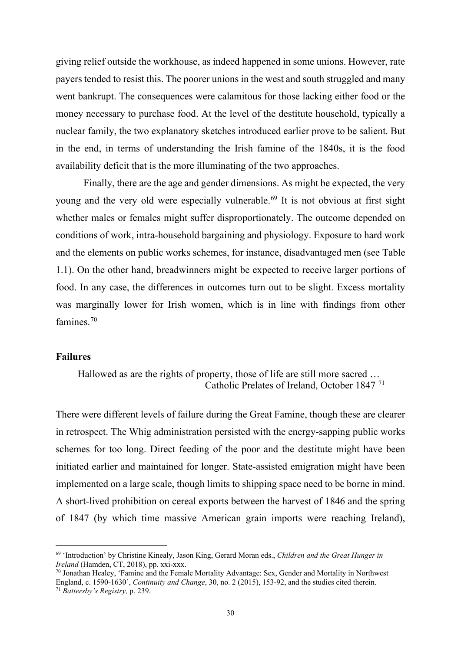giving relief outside the workhouse, as indeed happened in some unions. However, rate payers tended to resist this. The poorer unions in the west and south struggled and many went bankrupt. The consequences were calamitous for those lacking either food or the money necessary to purchase food. At the level of the destitute household, typically a nuclear family, the two explanatory sketches introduced earlier prove to be salient. But in the end, in terms of understanding the Irish famine of the 1840s, it is the food availability deficit that is the more illuminating of the two approaches.

Finally, there are the age and gender dimensions. As might be expected, the very young and the very old were especially vulnerable.<sup>[69](#page-30-0)</sup> It is not obvious at first sight whether males or females might suffer disproportionately. The outcome depended on conditions of work, intra-household bargaining and physiology. Exposure to hard work and the elements on public works schemes, for instance, disadvantaged men (see Table 1.1). On the other hand, breadwinners might be expected to receive larger portions of food. In any case, the differences in outcomes turn out to be slight. Excess mortality was marginally lower for Irish women, which is in line with findings from other famines.<sup>[70](#page-30-1)</sup>

### **Failures**

Hallowed as are the rights of property, those of life are still more sacred … Catholic Prelates of Ireland, October 1847 [71](#page-30-2)

There were different levels of failure during the Great Famine, though these are clearer in retrospect. The Whig administration persisted with the energy-sapping public works schemes for too long. Direct feeding of the poor and the destitute might have been initiated earlier and maintained for longer. State-assisted emigration might have been implemented on a large scale, though limits to shipping space need to be borne in mind. A short-lived prohibition on cereal exports between the harvest of 1846 and the spring of 1847 (by which time massive American grain imports were reaching Ireland),

<span id="page-30-0"></span><sup>69</sup> 'Introduction' by Christine Kinealy, Jason King, Gerard Moran eds., *Children and the Great Hunger in* 

<span id="page-30-1"></span><sup>&</sup>lt;sup>70</sup> Jonathan Healey, 'Famine and the Female Mortality Advantage: Sex, Gender and Mortality in Northwest England, c. 1590-1630', *Continuity and Change*, 30, no. 2 (2015), 153-92, and the studies cited therein.

<span id="page-30-2"></span><sup>71</sup> *Battersby's Registry,* p. 239.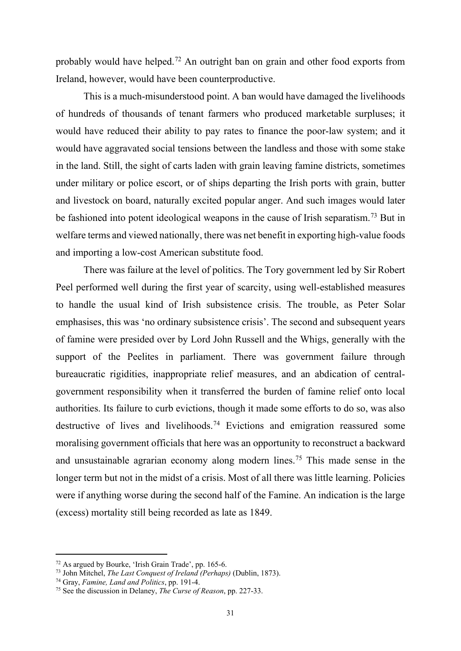probably would have helped.[72](#page-31-0) An outright ban on grain and other food exports from Ireland, however, would have been counterproductive.

This is a much-misunderstood point. A ban would have damaged the livelihoods of hundreds of thousands of tenant farmers who produced marketable surpluses; it would have reduced their ability to pay rates to finance the poor-law system; and it would have aggravated social tensions between the landless and those with some stake in the land. Still, the sight of carts laden with grain leaving famine districts, sometimes under military or police escort, or of ships departing the Irish ports with grain, butter and livestock on board, naturally excited popular anger. And such images would later be fashioned into potent ideological weapons in the cause of Irish separatism.<sup>[73](#page-31-1)</sup> But in welfare terms and viewed nationally, there was net benefit in exporting high-value foods and importing a low-cost American substitute food.

There was failure at the level of politics. The Tory government led by Sir Robert Peel performed well during the first year of scarcity, using well-established measures to handle the usual kind of Irish subsistence crisis. The trouble, as Peter Solar emphasises, this was 'no ordinary subsistence crisis'. The second and subsequent years of famine were presided over by Lord John Russell and the Whigs, generally with the support of the Peelites in parliament. There was government failure through bureaucratic rigidities, inappropriate relief measures, and an abdication of centralgovernment responsibility when it transferred the burden of famine relief onto local authorities. Its failure to curb evictions, though it made some efforts to do so, was also destructive of lives and livelihoods.<sup>[74](#page-31-2)</sup> Evictions and emigration reassured some moralising government officials that here was an opportunity to reconstruct a backward and unsustainable agrarian economy along modern lines.[75](#page-31-3) This made sense in the longer term but not in the midst of a crisis. Most of all there was little learning. Policies were if anything worse during the second half of the Famine. An indication is the large (excess) mortality still being recorded as late as 1849.

<span id="page-31-0"></span><sup>&</sup>lt;sup>72</sup> As argued by Bourke, 'Irish Grain Trade', pp. 165-6.<br><sup>73</sup> John Mitchel, *The Last Conquest of Ireland (Perhaps)* (Dublin, 1873).

<span id="page-31-3"></span><span id="page-31-2"></span><span id="page-31-1"></span><sup>&</sup>lt;sup>74</sup> Gray, *Famine, Land and Politics*, pp. 191-4.<br><sup>75</sup> See the discussion in Delaney, *The Curse of Reason*, pp. 227-33.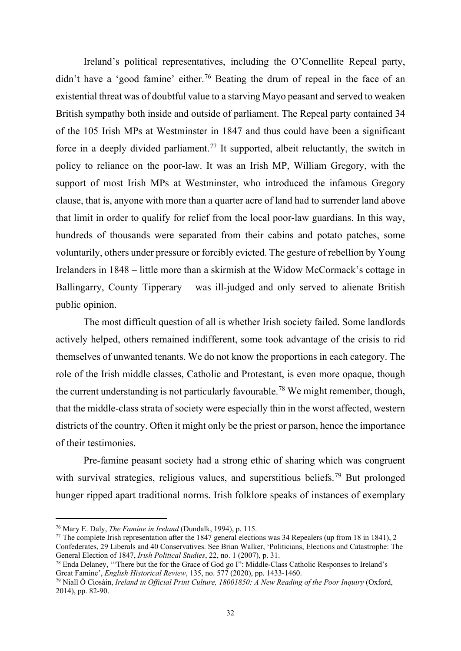Ireland's political representatives, including the O'Connellite Repeal party, didn't have a 'good famine' either.<sup>[76](#page-32-0)</sup> Beating the drum of repeal in the face of an existential threat was of doubtful value to a starving Mayo peasant and served to weaken British sympathy both inside and outside of parliament. The Repeal party contained 34 of the 105 Irish MPs at Westminster in 1847 and thus could have been a significant force in a deeply divided parliament.<sup>[77](#page-32-1)</sup> It supported, albeit reluctantly, the switch in policy to reliance on the poor-law. It was an Irish MP, William Gregory, with the support of most Irish MPs at Westminster, who introduced the infamous Gregory clause, that is, anyone with more than a quarter acre of land had to surrender land above that limit in order to qualify for relief from the local poor-law guardians. In this way, hundreds of thousands were separated from their cabins and potato patches, some voluntarily, others under pressure or forcibly evicted. The gesture of rebellion by Young Irelanders in 1848 – little more than a skirmish at the Widow McCormack's cottage in Ballingarry, County Tipperary – was ill-judged and only served to alienate British public opinion.

The most difficult question of all is whether Irish society failed. Some landlords actively helped, others remained indifferent, some took advantage of the crisis to rid themselves of unwanted tenants. We do not know the proportions in each category. The role of the Irish middle classes, Catholic and Protestant, is even more opaque, though the current understanding is not particularly favourable.<sup>[78](#page-32-2)</sup> We might remember, though, that the middle-class strata of society were especially thin in the worst affected, western districts of the country. Often it might only be the priest or parson, hence the importance of their testimonies.

Pre-famine peasant society had a strong ethic of sharing which was congruent with survival strategies, religious values, and superstitious beliefs.<sup>[79](#page-32-3)</sup> But prolonged hunger ripped apart traditional norms. Irish folklore speaks of instances of exemplary

<span id="page-32-0"></span><sup>76</sup> Mary E. Daly, *The Famine in Ireland* (Dundalk, 1994), p. 115.

<span id="page-32-1"></span><sup>&</sup>lt;sup>77</sup> The complete Irish representation after the 1847 general elections was 34 Repealers (up from 18 in 1841), 2 Confederates, 29 Liberals and 40 Conservatives. See Brian Walker, 'Politicians, Elections and Catastrophe: The General Election of 1847, *Irish Political Studies*, 22, no. 1 (2007), p. 31.

<span id="page-32-2"></span><sup>78</sup> Enda Delaney, '"There but the for the Grace of God go I": Middle-Class Catholic Responses to Ireland's Great Famine', *English Historical Review*, 135, no. 577 (2020), pp. 1433-1460.

<span id="page-32-3"></span><sup>79</sup> Niall Ó Ciosáin, *Ireland in Official Print Culture, 18001850: A New Reading of the Poor Inquiry* (Oxford, 2014), pp. 82-90.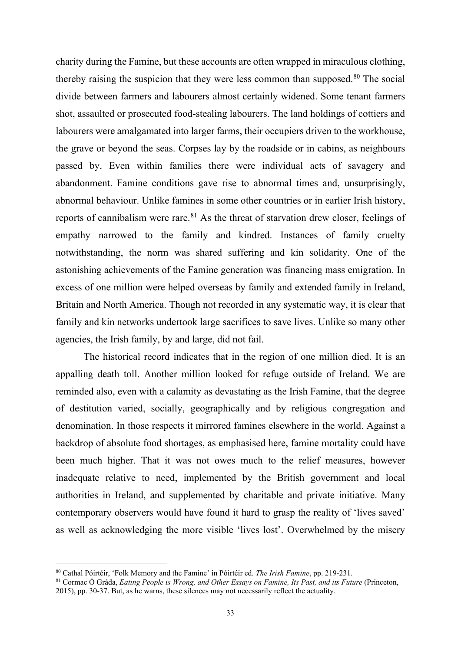charity during the Famine, but these accounts are often wrapped in miraculous clothing, thereby raising the suspicion that they were less common than supposed. $80$  The social divide between farmers and labourers almost certainly widened. Some tenant farmers shot, assaulted or prosecuted food-stealing labourers. The land holdings of cottiers and labourers were amalgamated into larger farms, their occupiers driven to the workhouse, the grave or beyond the seas. Corpses lay by the roadside or in cabins, as neighbours passed by. Even within families there were individual acts of savagery and abandonment. Famine conditions gave rise to abnormal times and, unsurprisingly, abnormal behaviour. Unlike famines in some other countries or in earlier Irish history, reports of cannibalism were rare.<sup>[81](#page-33-1)</sup> As the threat of starvation drew closer, feelings of empathy narrowed to the family and kindred. Instances of family cruelty notwithstanding, the norm was shared suffering and kin solidarity. One of the astonishing achievements of the Famine generation was financing mass emigration. In excess of one million were helped overseas by family and extended family in Ireland, Britain and North America. Though not recorded in any systematic way, it is clear that family and kin networks undertook large sacrifices to save lives. Unlike so many other agencies, the Irish family, by and large, did not fail.

The historical record indicates that in the region of one million died. It is an appalling death toll. Another million looked for refuge outside of Ireland. We are reminded also, even with a calamity as devastating as the Irish Famine, that the degree of destitution varied, socially, geographically and by religious congregation and denomination. In those respects it mirrored famines elsewhere in the world. Against a backdrop of absolute food shortages, as emphasised here, famine mortality could have been much higher. That it was not owes much to the relief measures, however inadequate relative to need, implemented by the British government and local authorities in Ireland, and supplemented by charitable and private initiative. Many contemporary observers would have found it hard to grasp the reality of 'lives saved' as well as acknowledging the more visible 'lives lost'. Overwhelmed by the misery

<span id="page-33-0"></span><sup>80</sup> Cathal Póirtéir, 'Folk Memory and the Famine' in Póirtéir ed. *The Irish Famine*, pp. 219-231.

<span id="page-33-1"></span><sup>81</sup> Cormac Ó Gráda, *Eating People is Wrong, and Other Essays on Famine, Its Past, and its Future* (Princeton, 2015), pp. 30-37. But, as he warns, these silences may not necessarily reflect the actuality.